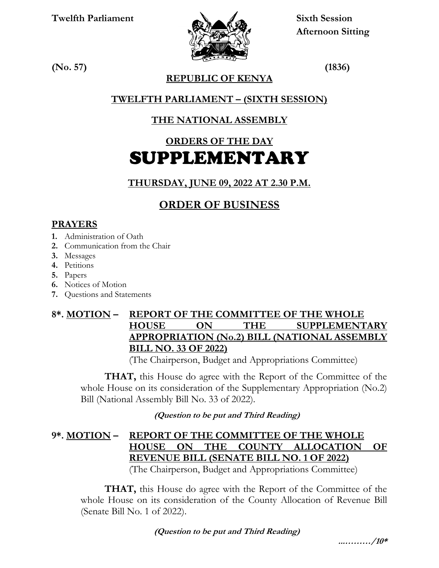**Twelfth Parliament Sixth Session**



 **Afternoon Sitting** 

**(No. 57) (1836)**

**REPUBLIC OF KENYA**

## **TWELFTH PARLIAMENT – (SIXTH SESSION)**

# **THE NATIONAL ASSEMBLY**

# **ORDERS OF THE DAY** SUPPLEMENTARY

### **THURSDAY, JUNE 09, 2022 AT 2.30 P.M.**

# **ORDER OF BUSINESS**

#### **PRAYERS**

- **1.** Administration of Oath
- **2.** Communication from the Chair
- **3.** Messages
- **4.** Petitions
- **5.** Papers
- **6.** Notices of Motion
- **7.** Questions and Statements

### **8\*. MOTION – REPORT OF THE COMMITTEE OF THE WHOLE HOUSE ON THE SUPPLEMENTARY APPROPRIATION (No.2) BILL (NATIONAL ASSEMBLY BILL NO. 33 OF 2022)**

(The Chairperson, Budget and Appropriations Committee)

 **THAT,** this House do agree with the Report of the Committee of the whole House on its consideration of the Supplementary Appropriation (No.2) Bill (National Assembly Bill No. 33 of 2022).

 **(Question to be put and Third Reading)**

### **9\*. MOTION – REPORT OF THE COMMITTEE OF THE WHOLE HOUSE ON THE COUNTY ALLOCATION OF REVENUE BILL (SENATE BILL NO. 1 OF 2022)**

(The Chairperson, Budget and Appropriations Committee)

 **THAT,** this House do agree with the Report of the Committee of the whole House on its consideration of the County Allocation of Revenue Bill (Senate Bill No. 1 of 2022).

 **(Question to be put and Third Reading)**

**...………/10\***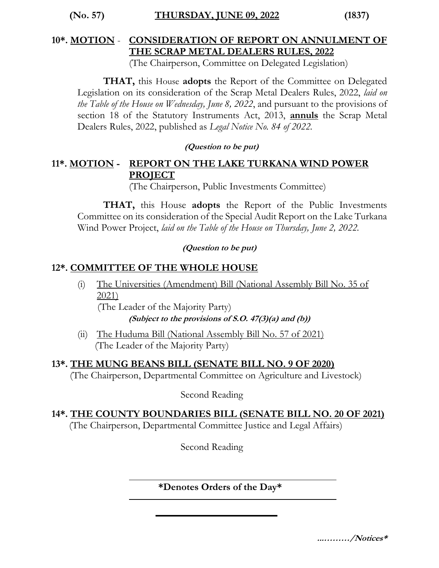**(No. 57) THURSDAY, JUNE 09, 2022 (1837)**

#### **10\*. MOTION** - **CONSIDERATION OF REPORT ON ANNULMENT OF THE SCRAP METAL DEALERS RULES, 2022**

(The Chairperson, Committee on Delegated Legislation)

**THAT,** this House **adopts** the Report of the Committee on Delegated Legislation on its consideration of the Scrap Metal Dealers Rules, 2022, *laid on the Table of the House on Wednesday, June 8, 2022*, and pursuant to the provisions of section 18 of the Statutory Instruments Act, 2013, **annuls** the Scrap Metal Dealers Rules, 2022, published as *Legal Notice No. 84 of 2022.*

#### **(Question to be put)**

#### **11\*. MOTION - REPORT ON THE LAKE TURKANA WIND POWER PROJECT**

(The Chairperson, Public Investments Committee)

**THAT,** this House **adopts** the Report of the Public Investments Committee on its consideration of the Special Audit Report on the Lake Turkana Wind Power Project, *laid on the Table of the House on Thursday, June 2, 2022.*

#### **(Question to be put)**

#### **12\*. COMMITTEE OF THE WHOLE HOUSE**

(i) The Universities (Amendment) Bill (National Assembly Bill No. 35 of 2021)

(The Leader of the Majority Party)

**(Subject to the provisions of S.O. 47(3)(a) and (b))**

(ii) The Huduma Bill (National Assembly Bill No. 57 of 2021) (The Leader of the Majority Party)

#### **13\*. THE MUNG BEANS BILL (SENATE BILL NO. 9 OF 2020)**

(The Chairperson, Departmental Committee on Agriculture and Livestock)

Second Reading

#### **14\*. THE COUNTY BOUNDARIES BILL (SENATE BILL NO. 20 OF 2021)**

(The Chairperson, Departmental Committee Justice and Legal Affairs)

Second Reading

#### **\*Denotes Orders of the Day\***

**...………/Notices\***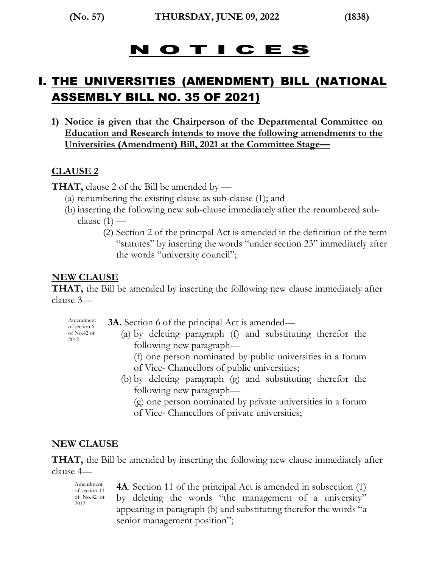# N O T I C E S

# I. THE UNIVERSITIES (AMENDMENT) BILL (NATIONAL ASSEMBLY BILL NO. 35 OF 2021)

**1) Notice is given that the Chairperson of the Departmental Committee on Education and Research intends to move the following amendments to the Universities (Amendment) Bill, 2021 at the Committee Stage—**

#### **CLAUSE 2**

**THAT,** clause 2 of the Bill be amended by —

- (a) renumbering the existing clause as sub-clause (1); and
- (b) inserting the following new sub-clause immediately after the renumbered sub
	- clause  $(1)$ 
		- (2) Section 2 of the principal Act is amended in the definition of the term "statutes" by inserting the words "under section 23" immediately after the words "university council";

#### **NEW CLAUSE**

**THAT,** the Bill be amended by inserting the following new clause immediately after clause 3—

Amendment of section 6 of No.42 of 2012.

- **3A.** Section 6 of the principal Act is amended—
	- (a) by deleting paragraph (f) and substituting therefor the following new paragraph—
		- (f) one person nominated by public universities in a forum of Vice- Chancellors of public universities;
		- (b) by deleting paragraph (g) and substituting therefor the following new paragraph—

(g) one person nominated by private universities in a forum of Vice- Chancellors of private universities;

#### **NEW CLAUSE**

**THAT,** the Bill be amended by inserting the following new clause immediately after clause 4—

Amendment of section 11 of No.42 of 2012.

**4A**. Section 11 of the principal Act is amended in subsection (1) by deleting the words "the management of a university" appearing in paragraph (b) and substituting therefor the words "a senior management position";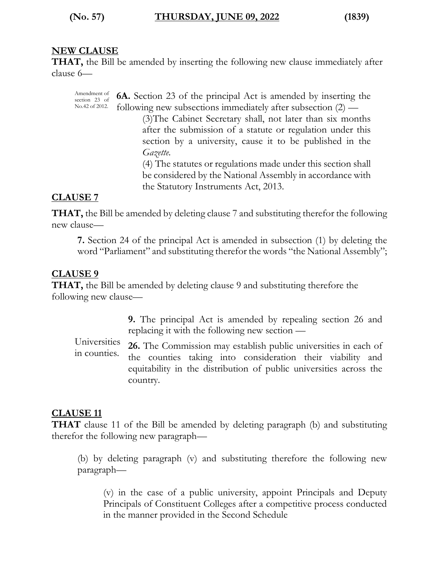#### **NEW CLAUSE**

**THAT,** the Bill be amended by inserting the following new clause immediately after clause 6—

Amendment of section 23 of No.42 of 2012. **6A.** Section 23 of the principal Act is amended by inserting the following new subsections immediately after subsection (2) — (3)The Cabinet Secretary shall, not later than six months after the submission of a statute or regulation under this section by a university, cause it to be published in the *Gazette.* (4) The statutes or regulations made under this section shall be considered by the National Assembly in accordance with the Statutory Instruments Act, 2013.

#### **CLAUSE 7**

**THAT,** the Bill be amended by deleting clause 7 and substituting therefor the following new clause—

**7.** Section 24 of the principal Act is amended in subsection (1) by deleting the word "Parliament" and substituting therefor the words "the National Assembly";

#### **CLAUSE 9**

**THAT,** the Bill be amended by deleting clause 9 and substituting therefore the following new clause—

> **9.** The principal Act is amended by repealing section 26 and replacing it with the following new section —

Universities in counties. **26.** The Commission may establish public universities in each of the counties taking into consideration their viability and equitability in the distribution of public universities across the country*.*

#### **CLAUSE 11**

**THAT** clause 11 of the Bill be amended by deleting paragraph (b) and substituting therefor the following new paragraph—

(b) by deleting paragraph (v) and substituting therefore the following new paragraph—

(v) in the case of a public university, appoint Principals and Deputy Principals of Constituent Colleges after a competitive process conducted in the manner provided in the Second Schedule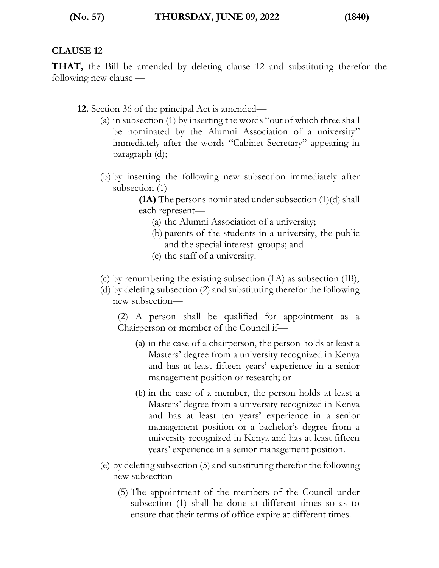#### **CLAUSE 12**

**THAT,** the Bill be amended by deleting clause 12 and substituting therefor the following new clause —

- **12.** Section 36 of the principal Act is amended—
	- (a) in subsection (1) by inserting the words "out of which three shall be nominated by the Alumni Association of a university" immediately after the words "Cabinet Secretary" appearing in paragraph (d);
	- (b) by inserting the following new subsection immediately after subsection  $(1)$  —

**(1A)** The persons nominated under subsection (1)(d) shall each represent—

- (a) the Alumni Association of a university;
- (b) parents of the students in a university, the public and the special interest groups; and
- (c) the staff of a university.
- (c) by renumbering the existing subsection (1A) as subsection (IB);
- (d) by deleting subsection (2) and substituting therefor the following new subsection—

(2) A person shall be qualified for appointment as a Chairperson or member of the Council if—

- (a) in the case of a chairperson, the person holds at least a Masters' degree from a university recognized in Kenya and has at least fifteen years' experience in a senior management position or research; or
- (b) in the case of a member, the person holds at least a Masters' degree from a university recognized in Kenya and has at least ten years' experience in a senior management position or a bachelor's degree from a university recognized in Kenya and has at least fifteen years' experience in a senior management position.
- (e) by deleting subsection (5) and substituting therefor the following new subsection—
	- (5) The appointment of the members of the Council under subsection (1) shall be done at different times so as to ensure that their terms of office expire at different times.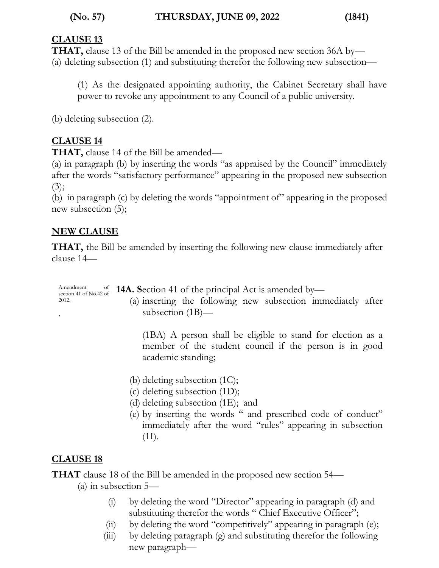#### **CLAUSE 13**

**THAT,** clause 13 of the Bill be amended in the proposed new section 36A by— (a) deleting subsection (1) and substituting therefor the following new subsection—

(1) As the designated appointing authority, the Cabinet Secretary shall have power to revoke any appointment to any Council of a public university.

(b) deleting subsection (2).

#### **CLAUSE 14**

**THAT,** clause 14 of the Bill be amended—

(a) in paragraph (b) by inserting the words "as appraised by the Council" immediately after the words "satisfactory performance" appearing in the proposed new subsection  $(3);$ 

(b) in paragraph (c) by deleting the words "appointment of" appearing in the proposed new subsection (5);

#### **NEW CLAUSE**

**THAT,** the Bill be amended by inserting the following new clause immediately after clause 14—

| Amendment<br>Amendment of<br>section 41 of No.42 of<br>2012. | <b>14A.</b> Section 41 of the principal Act is amended by—<br>(a) inserting the following new subsection immediately after<br>subsection $(1B)$ —                                                                                                |
|--------------------------------------------------------------|--------------------------------------------------------------------------------------------------------------------------------------------------------------------------------------------------------------------------------------------------|
|                                                              | (1BA) A person shall be eligible to stand for election as a<br>member of the student council if the person is in good<br>academic standing;                                                                                                      |
|                                                              | (b) deleting subsection $(1C)$ ;<br>(c) deleting subsection (1D);<br>(d) deleting subsection $(1E)$ ; and<br>(e) by inserting the words " and prescribed code of conduct"<br>immediately after the word "rules" appearing in subsection<br>(1I). |

#### **CLAUSE 18**

**THAT** clause 18 of the Bill be amended in the proposed new section 54—

(a) in subsection 5—

- (i) by deleting the word "Director" appearing in paragraph (d) and substituting therefor the words " Chief Executive Officer";
- (ii) by deleting the word "competitively" appearing in paragraph (e);
- (iii) by deleting paragraph (g) and substituting therefor the following new paragraph—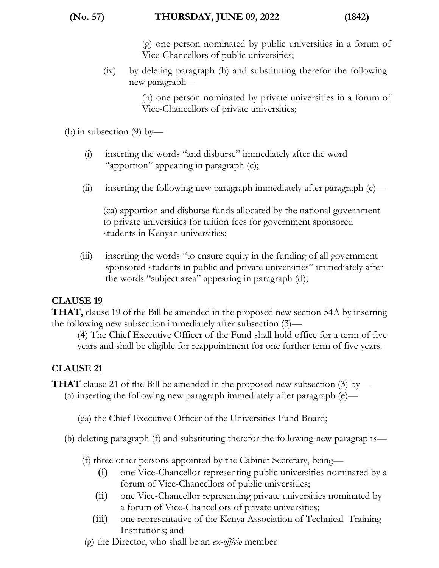(g) one person nominated by public universities in a forum of Vice-Chancellors of public universities;

(iv) by deleting paragraph (h) and substituting therefor the following new paragraph—

> (h) one person nominated by private universities in a forum of Vice-Chancellors of private universities;

(b) in subsection (9) by—

- (i) inserting the words "and disburse" immediately after the word "apportion" appearing in paragraph (c);
- (ii) inserting the following new paragraph immediately after paragraph  $(c)$ —

(ca) apportion and disburse funds allocated by the national government to private universities for tuition fees for government sponsored students in Kenyan universities;

(iii) inserting the words "to ensure equity in the funding of all government sponsored students in public and private universities" immediately after the words "subject area" appearing in paragraph (d);

#### **CLAUSE 19**

**THAT,** clause 19 of the Bill be amended in the proposed new section 54A by inserting the following new subsection immediately after subsection (3)—

(4) The Chief Executive Officer of the Fund shall hold office for a term of five years and shall be eligible for reappointment for one further term of five years.

#### **CLAUSE 21**

**THAT** clause 21 of the Bill be amended in the proposed new subsection (3) by—

(a) inserting the following new paragraph immediately after paragraph (e)—

(ea) the Chief Executive Officer of the Universities Fund Board;

(b) deleting paragraph (f) and substituting therefor the following new paragraphs—

(f) three other persons appointed by the Cabinet Secretary, being—

- (i) one Vice-Chancellor representing public universities nominated by a forum of Vice-Chancellors of public universities;
- (ii) one Vice-Chancellor representing private universities nominated by a forum of Vice-Chancellors of private universities;
- (iii) one representative of the Kenya Association of Technical Training Institutions; and
- (g) the Director, who shall be an *ex-officio* member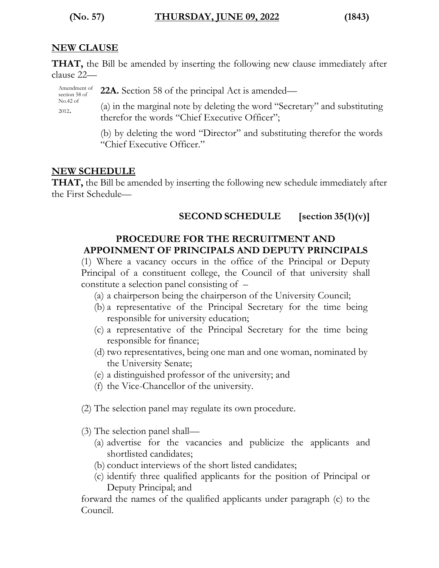**(No. 57) THURSDAY, JUNE 09, 2022 (1843)**

#### **NEW CLAUSE**

**THAT,** the Bill be amended by inserting the following new clause immediately after clause 22—

Amendment of section 58 of **22A.** Section 58 of the principal Act is amended—

No.42 of <sup>2012</sup>.

(a) in the marginal note by deleting the word "Secretary" and substituting therefor the words "Chief Executive Officer";

(b) by deleting the word "Director" and substituting therefor the words "Chief Executive Officer."

#### **NEW SCHEDULE**

**THAT,** the Bill be amended by inserting the following new schedule immediately after the First Schedule—

#### **SECOND SCHEDULE [section 35(1)(v)]**

#### **PROCEDURE FOR THE RECRUITMENT AND APPOINMENT OF PRINCIPALS AND DEPUTY PRINCIPALS**

(1) Where a vacancy occurs in the office of the Principal or Deputy Principal of a constituent college, the Council of that university shall constitute a selection panel consisting of –

- (a) a chairperson being the chairperson of the University Council;
- (b) a representative of the Principal Secretary for the time being responsible for university education;
- (c) a representative of the Principal Secretary for the time being responsible for finance;
- (d) two representatives, being one man and one woman, nominated by the University Senate;
- (e) a distinguished professor of the university; and
- (f) the Vice-Chancellor of the university.
- (2) The selection panel may regulate its own procedure.
- (3) The selection panel shall—
	- (a) advertise for the vacancies and publicize the applicants and shortlisted candidates;
	- (b) conduct interviews of the short listed candidates;
	- (c) identify three qualified applicants for the position of Principal or Deputy Principal; and

forward the names of the qualified applicants under paragraph (c) to the Council.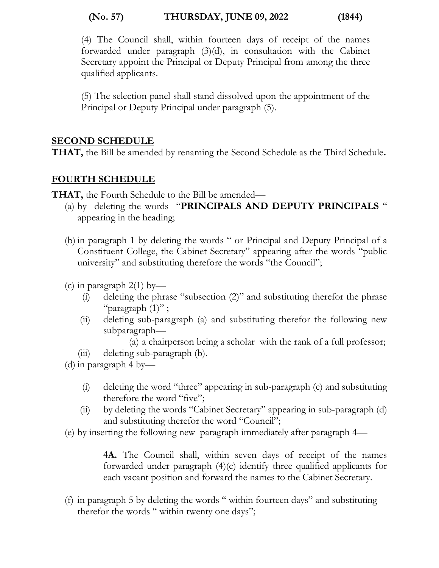#### **(No. 57) THURSDAY, JUNE 09, 2022 (1844)**

(4) The Council shall, within fourteen days of receipt of the names forwarded under paragraph (3)(d), in consultation with the Cabinet Secretary appoint the Principal or Deputy Principal from among the three qualified applicants.

(5) The selection panel shall stand dissolved upon the appointment of the Principal or Deputy Principal under paragraph (5).

#### **SECOND SCHEDULE**

**THAT,** the Bill be amended by renaming the Second Schedule as the Third Schedule**.**

#### **FOURTH SCHEDULE**

**THAT,** the Fourth Schedule to the Bill be amended—

- (a) by deleting the words "**PRINCIPALS AND DEPUTY PRINCIPALS** " appearing in the heading;
- (b) in paragraph 1 by deleting the words " or Principal and Deputy Principal of a Constituent College, the Cabinet Secretary" appearing after the words "public university" and substituting therefore the words "the Council";
- (c) in paragraph  $2(1)$  by—
	- (i) deleting the phrase "subsection (2)" and substituting therefor the phrase "paragraph  $(1)$ ";
	- (ii) deleting sub-paragraph (a) and substituting therefor the following new subparagraph—

(a) a chairperson being a scholar with the rank of a full professor;

- (iii) deleting sub-paragraph (b).
- (d) in paragraph 4 by—
	- (i) deleting the word "three" appearing in sub-paragraph (c) and substituting therefore the word "five";
	- (ii) by deleting the words "Cabinet Secretary" appearing in sub-paragraph (d) and substituting therefor the word "Council";
- (e) by inserting the following new paragraph immediately after paragraph 4—

**4A.** The Council shall, within seven days of receipt of the names forwarded under paragraph (4)(c) identify three qualified applicants for each vacant position and forward the names to the Cabinet Secretary.

(f) in paragraph 5 by deleting the words " within fourteen days" and substituting therefor the words " within twenty one days";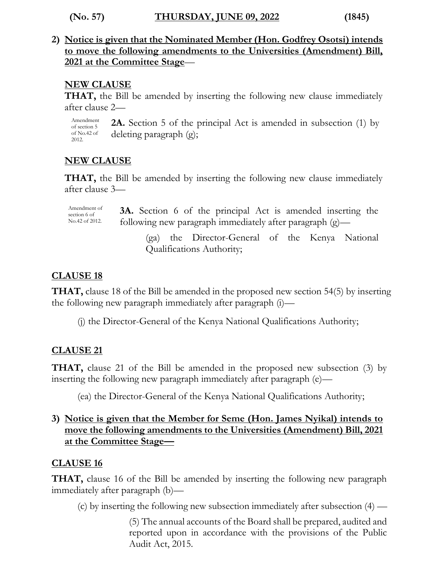**(No. 57) THURSDAY, JUNE 09, 2022 (1845)**

**2) Notice is given that the Nominated Member (Hon. Godfrey Osotsi) intends to move the following amendments to the Universities (Amendment) Bill, 2021 at the Committee Stage**—

#### **NEW CLAUSE**

**THAT,** the Bill be amended by inserting the following new clause immediately after clause 2—

Amendment of section 5 of No.42 of 2012. **2A.** Section 5 of the principal Act is amended in subsection (1) by deleting paragraph (g);

#### **NEW CLAUSE**

**THAT,** the Bill be amended by inserting the following new clause immediately after clause 3—

Amendment of section 6 of No.42 of 2012. **3A.** Section 6 of the principal Act is amended inserting the following new paragraph immediately after paragraph (g)—

> (ga) the Director-General of the Kenya National Qualifications Authority;

#### **CLAUSE 18**

**THAT,** clause 18 of the Bill be amended in the proposed new section 54(5) by inserting the following new paragraph immediately after paragraph (i)—

(j) the Director-General of the Kenya National Qualifications Authority;

#### **CLAUSE 21**

**THAT,** clause 21 of the Bill be amended in the proposed new subsection (3) by inserting the following new paragraph immediately after paragraph (e)—

(ea) the Director-General of the Kenya National Qualifications Authority;

#### **3) Notice is given that the Member for Seme (Hon. James Nyikal) intends to move the following amendments to the Universities (Amendment) Bill, 2021 at the Committee Stage—**

#### **CLAUSE 16**

**THAT,** clause 16 of the Bill be amended by inserting the following new paragraph immediately after paragraph (b)—

(c) by inserting the following new subsection immediately after subsection (4) —

(5) The annual accounts of the Board shall be prepared, audited and reported upon in accordance with the provisions of the Public Audit Act, 2015.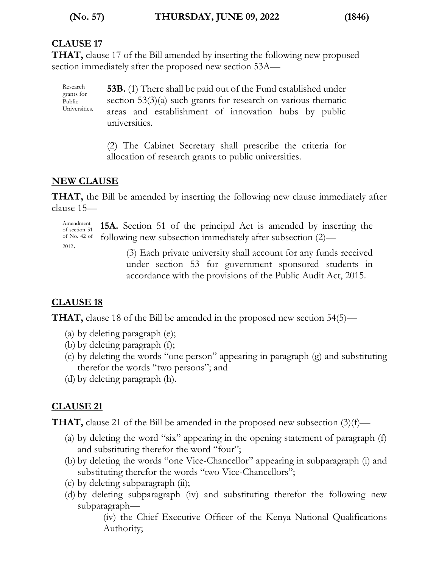#### **CLAUSE 17**

Research grants for Public

**THAT,** clause 17 of the Bill amended by inserting the following new proposed section immediately after the proposed new section 53A—

Universities. **53B.** (1) There shall be paid out of the Fund established under section 53(3)(a) such grants for research on various thematic areas and establishment of innovation hubs by public universities.

> (2) The Cabinet Secretary shall prescribe the criteria for allocation of research grants to public universities.

#### **NEW CLAUSE**

**THAT,** the Bill be amended by inserting the following new clause immediately after clause 15—

Amendment of section 51 of No. 42 of <sup>2012</sup>.

**15A.** Section 51 of the principal Act is amended by inserting the following new subsection immediately after subsection (2)—

> (3) Each private university shall account for any funds received under section 53 for government sponsored students in accordance with the provisions of the Public Audit Act, 2015.

#### **CLAUSE 18**

**THAT,** clause 18 of the Bill be amended in the proposed new section 54(5)—

- (a) by deleting paragraph (e);
- (b) by deleting paragraph (f);
- (c) by deleting the words "one person" appearing in paragraph (g) and substituting therefor the words "two persons"; and
- (d) by deleting paragraph (h).

#### **CLAUSE 21**

**THAT,** clause 21 of the Bill be amended in the proposed new subsection (3)(f)—

- (a) by deleting the word "six" appearing in the opening statement of paragraph (f) and substituting therefor the word "four";
- (b) by deleting the words "one Vice-Chancellor" appearing in subparagraph (i) and substituting therefor the words "two Vice-Chancellors";
- (c) by deleting subparagraph (ii);
- (d) by deleting subparagraph (iv) and substituting therefor the following new subparagraph—

(iv) the Chief Executive Officer of the Kenya National Qualifications Authority;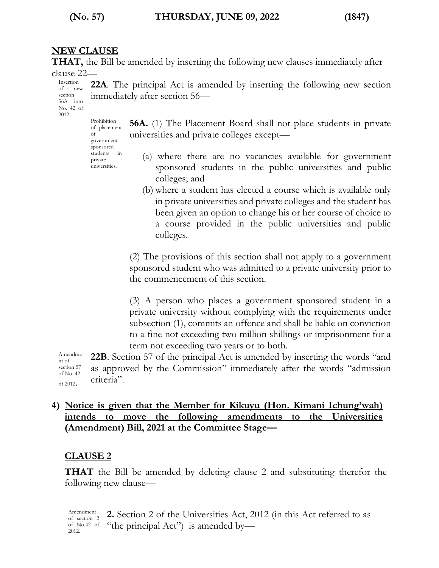#### **(No. 57) THURSDAY, JUNE 09, 2022 (1847)**

#### **NEW CLAUSE**

**THAT,** the Bill be amended by inserting the following new clauses immediately after clause 22—

**22A**. The principal Act is amended by inserting the following new section

Insertion of a new section 56A into No. 42 of 2012.

> Prohibition of placement of government sponsored students in private universities.

immediately after section 56—

**56A.** (1) The Placement Board shall not place students in private universities and private colleges except—

- (a) where there are no vacancies available for government sponsored students in the public universities and public colleges; and
- (b) where a student has elected a course which is available only in private universities and private colleges and the student has been given an option to change his or her course of choice to a course provided in the public universities and public colleges.

(2) The provisions of this section shall not apply to a government sponsored student who was admitted to a private university prior to the commencement of this section.

(3) A person who places a government sponsored student in a private university without complying with the requirements under subsection (1), commits an offence and shall be liable on conviction to a fine not exceeding two million shillings or imprisonment for a term not exceeding two years or to both.

Amendme nt of section 57 of No. 42 of 2012. **22B**. Section 57 of the principal Act is amended by inserting the words "and as approved by the Commission" immediately after the words "admission criteria".

#### **4) Notice is given that the Member for Kikuyu (Hon. Kimani Ichung'wah) intends to move the following amendments to the Universities (Amendment) Bill, 2021 at the Committee Stage—**

#### **CLAUSE 2**

**THAT** the Bill be amended by deleting clause 2 and substituting therefor the following new clause—

Amendment of section 2 of No.42 of 2012. **2.** Section 2 of the Universities Act, 2012 (in this Act referred to as "the principal Act") is amended by-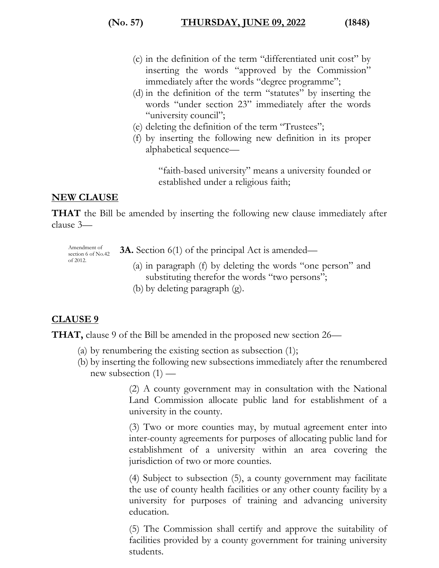#### **(No. 57) THURSDAY, JUNE 09, 2022 (1848)**

- (c) in the definition of the term "differentiated unit cost" by inserting the words "approved by the Commission" immediately after the words "degree programme";
- (d) in the definition of the term "statutes" by inserting the words "under section 23" immediately after the words "university council";
- (e) deleting the definition of the term "Trustees";
- (f) by inserting the following new definition in its proper alphabetical sequence—

"faith-based university" means a university founded or established under a religious faith;

#### **NEW CLAUSE**

**THAT** the Bill be amended by inserting the following new clause immediately after clause 3—

Amendment of section 6 of No.42 of 2012. **3A.** Section 6(1) of the principal Act is amended— (a) in paragraph (f) by deleting the words "one person" and substituting therefor the words "two persons";

(b) by deleting paragraph (g).

#### **CLAUSE 9**

**THAT,** clause 9 of the Bill be amended in the proposed new section 26—

- (a) by renumbering the existing section as subsection (1);
- (b) by inserting the following new subsections immediately after the renumbered new subsection  $(1)$  —

(2) A county government may in consultation with the National Land Commission allocate public land for establishment of a university in the county.

(3) Two or more counties may, by mutual agreement enter into inter-county agreements for purposes of allocating public land for establishment of a university within an area covering the jurisdiction of two or more counties.

(4) Subject to subsection (5), a county government may facilitate the use of county health facilities or any other county facility by a university for purposes of training and advancing university education.

(5) The Commission shall certify and approve the suitability of facilities provided by a county government for training university students.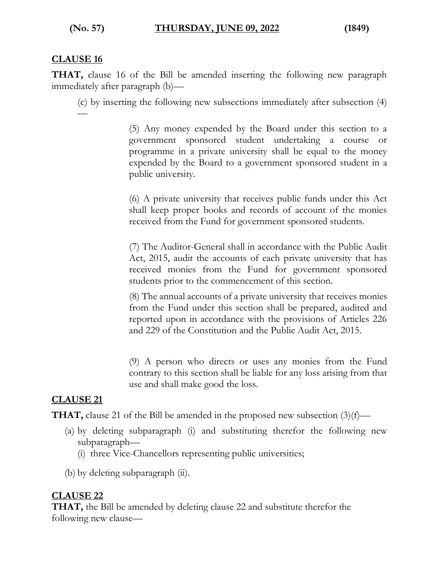#### **CLAUSE 16**

**THAT,** clause 16 of the Bill be amended inserting the following new paragraph immediately after paragraph (b)—

(c) by inserting the following new subsections immediately after subsection (4) —

> (5) Any money expended by the Board under this section to a government sponsored student undertaking a course or programme in a private university shall be equal to the money expended by the Board to a government sponsored student in a public university.

> (6) A private university that receives public funds under this Act shall keep proper books and records of account of the monies received from the Fund for government sponsored students.

> (7) The Auditor-General shall in accordance with the Public Audit Act, 2015, audit the accounts of each private university that has received monies from the Fund for government sponsored students prior to the commencement of this section.

> (8) The annual accounts of a private university that receives monies from the Fund under this section shall be prepared, audited and reported upon in accordance with the provisions of Articles 226 and 229 of the Constitution and the Public Audit Act, 2015.

> (9) A person who directs or uses any monies from the Fund contrary to this section shall be liable for any loss arising from that use and shall make good the loss.

#### **CLAUSE 21**

**THAT,** clause 21 of the Bill be amended in the proposed new subsection  $(3)(f)$ —

- (a) by deleting subparagraph (i) and substituting therefor the following new subparagraph—
	- (i) three Vice-Chancellors representing public universities;
- (b) by deleting subparagraph (ii).

#### **CLAUSE 22**

**THAT,** the Bill be amended by deleting clause 22 and substitute therefor the following new clause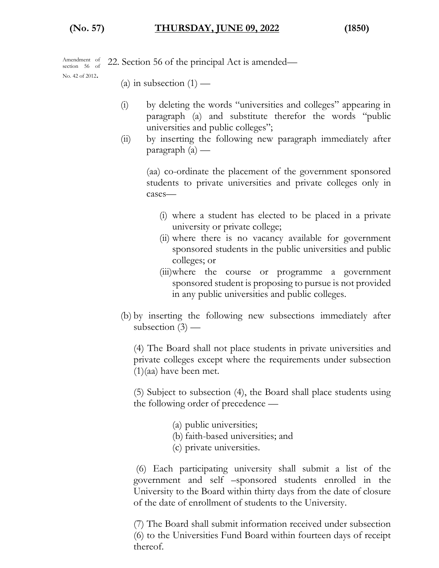Amendment of section 56 of 22. Section 56 of the principal Act is amended—

No. 42 of 2012.

- (a) in subsection  $(1)$  —
- (i) by deleting the words "universities and colleges" appearing in paragraph (a) and substitute therefor the words "public universities and public colleges";
- (ii) by inserting the following new paragraph immediately after paragraph (a) —

(aa) co-ordinate the placement of the government sponsored students to private universities and private colleges only in cases—

- (i) where a student has elected to be placed in a private university or private college;
- (ii) where there is no vacancy available for government sponsored students in the public universities and public colleges; or
- (iii)where the course or programme a government sponsored student is proposing to pursue is not provided in any public universities and public colleges.
- (b) by inserting the following new subsections immediately after subsection  $(3)$  —

(4) The Board shall not place students in private universities and private colleges except where the requirements under subsection (1)(aa) have been met.

(5) Subject to subsection (4), the Board shall place students using the following order of precedence —

- (a) public universities;
- (b) faith-based universities; and
- (c) private universities.

(6) Each participating university shall submit a list of the government and self –sponsored students enrolled in the University to the Board within thirty days from the date of closure of the date of enrollment of students to the University.

(7) The Board shall submit information received under subsection (6) to the Universities Fund Board within fourteen days of receipt thereof.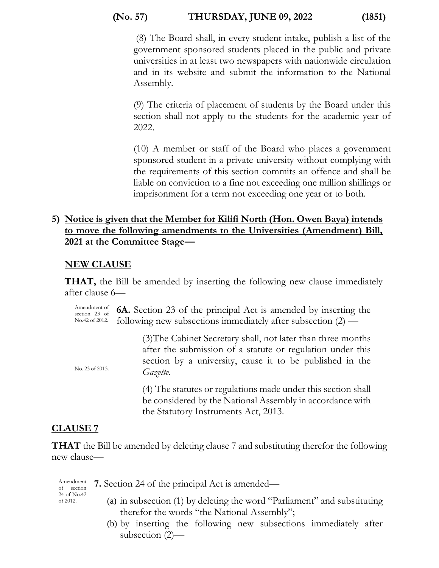#### **(No. 57) THURSDAY, JUNE 09, 2022 (1851)**

(8) The Board shall, in every student intake, publish a list of the government sponsored students placed in the public and private universities in at least two newspapers with nationwide circulation and in its website and submit the information to the National Assembly.

(9) The criteria of placement of students by the Board under this section shall not apply to the students for the academic year of 2022.

(10) A member or staff of the Board who places a government sponsored student in a private university without complying with the requirements of this section commits an offence and shall be liable on conviction to a fine not exceeding one million shillings or imprisonment for a term not exceeding one year or to both.

#### **5) Notice is given that the Member for Kilifi North (Hon. Owen Baya) intends to move the following amendments to the Universities (Amendment) Bill, 2021 at the Committee Stage—**

#### **NEW CLAUSE**

**THAT,** the Bill be amended by inserting the following new clause immediately after clause 6—

Amendment of section 23 of No.42 of 2012. **6A.** Section 23 of the principal Act is amended by inserting the following new subsections immediately after subsection (2) —

> (3)The Cabinet Secretary shall, not later than three months after the submission of a statute or regulation under this section by a university, cause it to be published in the *Gazette.*

(4) The statutes or regulations made under this section shall be considered by the National Assembly in accordance with the Statutory Instruments Act, 2013.

#### **CLAUSE 7**

No. 23 of 2013.

**THAT** the Bill be amended by deleting clause 7 and substituting therefor the following new clause—

Amendment of section 24 of No.42 of 2012.

- **7.** Section 24 of the principal Act is amended—
	- (a) in subsection (1) by deleting the word "Parliament" and substituting therefor the words "the National Assembly";
	- (b) by inserting the following new subsections immediately after subsection (2)—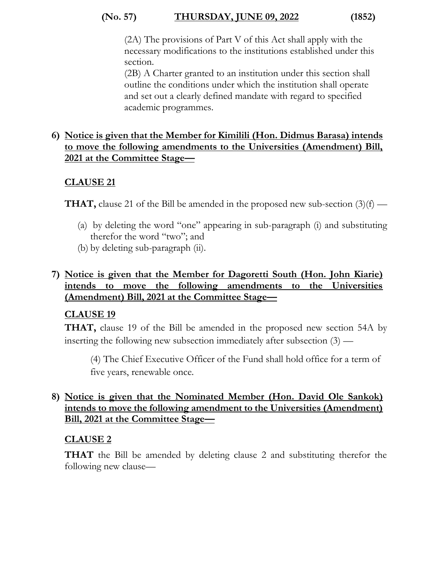#### **(No. 57) THURSDAY, JUNE 09, 2022 (1852)**

(2A) The provisions of Part V of this Act shall apply with the necessary modifications to the institutions established under this section.

(2B) A Charter granted to an institution under this section shall outline the conditions under which the institution shall operate and set out a clearly defined mandate with regard to specified academic programmes.

#### **6) Notice is given that the Member for Kimilili (Hon. Didmus Barasa) intends to move the following amendments to the Universities (Amendment) Bill, 2021 at the Committee Stage—**

#### **CLAUSE 21**

**THAT,** clause 21 of the Bill be amended in the proposed new sub-section  $(3)(f)$  —

- (a) by deleting the word "one" appearing in sub-paragraph (i) and substituting therefor the word "two"; and
- (b) by deleting sub-paragraph (ii).

#### **7) Notice is given that the Member for Dagoretti South (Hon. John Kiarie) intends to move the following amendments to the Universities (Amendment) Bill, 2021 at the Committee Stage—**

#### **CLAUSE 19**

**THAT,** clause 19 of the Bill be amended in the proposed new section 54A by inserting the following new subsection immediately after subsection (3) —

(4) The Chief Executive Officer of the Fund shall hold office for a term of five years, renewable once.

#### **8) Notice is given that the Nominated Member (Hon. David Ole Sankok) intends to move the following amendment to the Universities (Amendment) Bill, 2021 at the Committee Stage—**

#### **CLAUSE 2**

**THAT** the Bill be amended by deleting clause 2 and substituting therefor the following new clause—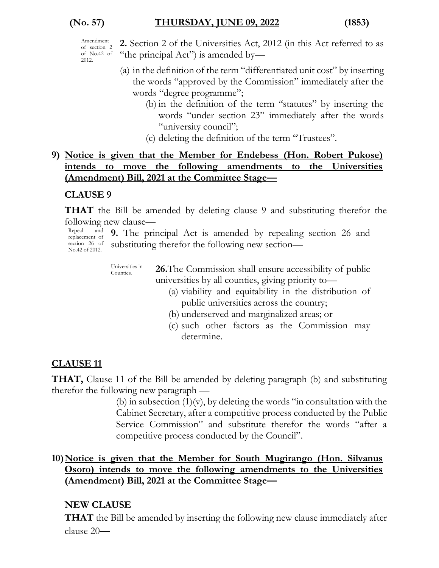- **2.** Section 2 of the Universities Act, 2012 (in this Act referred to as "the principal Act") is amended by—
- (a) in the definition of the term "differentiated unit cost" by inserting the words "approved by the Commission" immediately after the words "degree programme";
	- (b) in the definition of the term "statutes" by inserting the words "under section 23" immediately after the words "university council";
	- (c) deleting the definition of the term "Trustees".

#### **9) Notice is given that the Member for Endebess (Hon. Robert Pukose) intends to move the following amendments to the Universities (Amendment) Bill, 2021 at the Committee Stage—**

#### **CLAUSE 9**

**THAT** the Bill be amended by deleting clause 9 and substituting therefor the following new clause—

Repeal and No.42 of 2012. **9.** The principal Act is amended by repealing section 26 and substituting therefor the following new section—

> Universities in Counties. **26.**The Commission shall ensure accessibility of public universities by all counties, giving priority to—

- (a) viability and equitability in the distribution of public universities across the country;
- (b) underserved and marginalized areas; or
- (c) such other factors as the Commission may determine.

## **CLAUSE 11**

**THAT,** Clause 11 of the Bill be amended by deleting paragraph (b) and substituting therefor the following new paragraph —

(b) in subsection  $(1)(v)$ , by deleting the words "in consultation with the Cabinet Secretary, after a competitive process conducted by the Public Service Commission" and substitute therefor the words "after a competitive process conducted by the Council".

#### **10)Notice is given that the Member for South Mugirango (Hon. Silvanus Osoro) intends to move the following amendments to the Universities (Amendment) Bill, 2021 at the Committee Stage—**

### **NEW CLAUSE**

**THAT** the Bill be amended by inserting the following new clause immediately after clause 20**—**

replacement of section 26 of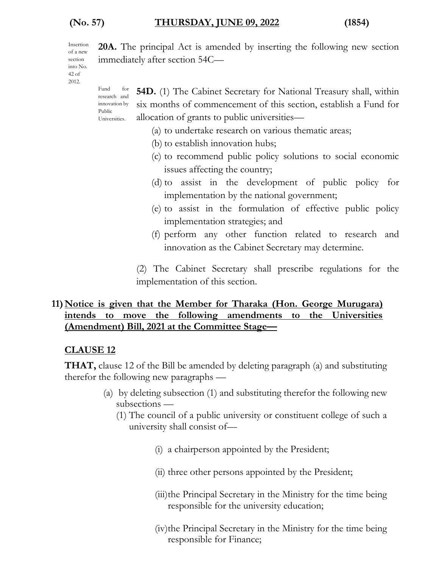Public

immediately after section 54C—

Insertion of a new section into No. 42 of 2012.

Fund for research and innovation by Universities. **54D.** (1) The Cabinet Secretary for National Treasury shall, within six months of commencement of this section, establish a Fund for allocation of grants to public universities—

(a) to undertake research on various thematic areas;

**20A.** The principal Act is amended by inserting the following new section

- (b) to establish innovation hubs;
- (c) to recommend public policy solutions to social economic issues affecting the country;
- (d) to assist in the development of public policy for implementation by the national government;
- (e) to assist in the formulation of effective public policy implementation strategies; and
- (f) perform any other function related to research and innovation as the Cabinet Secretary may determine.

(2) The Cabinet Secretary shall prescribe regulations for the implementation of this section.

#### **11) Notice is given that the Member for Tharaka (Hon. George Murugara) intends to move the following amendments to the Universities (Amendment) Bill, 2021 at the Committee Stage—**

#### **CLAUSE 12**

**THAT,** clause 12 of the Bill be amended by deleting paragraph (a) and substituting therefor the following new paragraphs —

- (a) by deleting subsection (1) and substituting therefor the following new subsections —
	- (1) The council of a public university or constituent college of such a university shall consist of—
		- (i) a chairperson appointed by the President;
		- (ii) three other persons appointed by the President;
		- (iii)the Principal Secretary in the Ministry for the time being responsible for the university education;
		- (iv)the Principal Secretary in the Ministry for the time being responsible for Finance;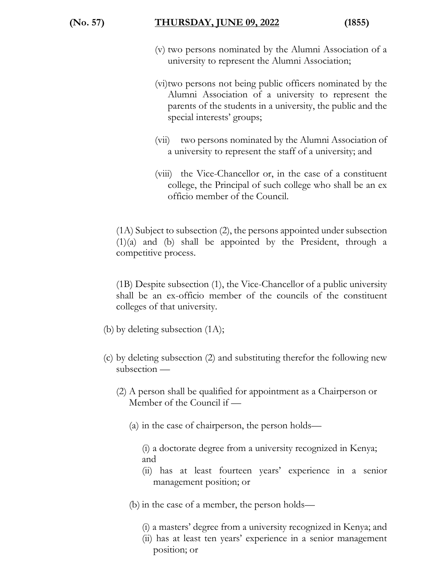- (v) two persons nominated by the Alumni Association of a university to represent the Alumni Association;
- (vi)two persons not being public officers nominated by the Alumni Association of a university to represent the parents of the students in a university, the public and the special interests' groups;
- (vii) two persons nominated by the Alumni Association of a university to represent the staff of a university; and
- (viii) the Vice-Chancellor or, in the case of a constituent college, the Principal of such college who shall be an ex officio member of the Council.

(1A) Subject to subsection (2), the persons appointed under subsection (1)(a) and (b) shall be appointed by the President, through a competitive process.

(1B) Despite subsection (1), the Vice-Chancellor of a public university shall be an ex-officio member of the councils of the constituent colleges of that university.

- (b) by deleting subsection (1A);
- (c) by deleting subsection (2) and substituting therefor the following new subsection —
	- (2) A person shall be qualified for appointment as a Chairperson or Member of the Council if —
		- (a) in the case of chairperson, the person holds—

(i) a doctorate degree from a university recognized in Kenya; and

- (ii) has at least fourteen years' experience in a senior management position; or
- (b) in the case of a member, the person holds—
	- (i) a masters' degree from a university recognized in Kenya; and
	- (ii) has at least ten years' experience in a senior management position; or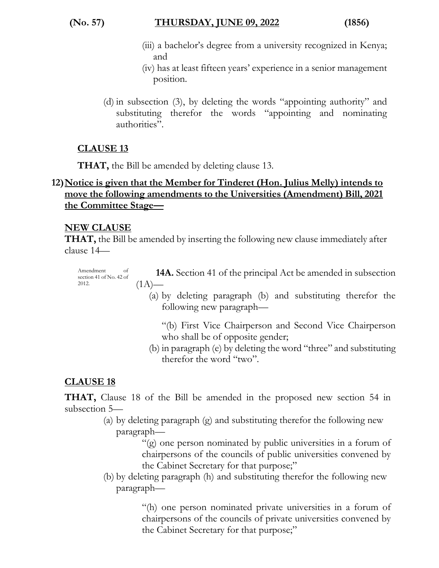#### **(No. 57) THURSDAY, JUNE 09, 2022 (1856)**

- (iii) a bachelor's degree from a university recognized in Kenya; and
- (iv) has at least fifteen years' experience in a senior management position.
- (d) in subsection (3), by deleting the words "appointing authority" and substituting therefor the words "appointing and nominating authorities".

#### **CLAUSE 13**

**THAT,** the Bill be amended by deleting clause 13.

#### **12)Notice is given that the Member for Tinderet (Hon. Julius Melly) intends to move the following amendments to the Universities (Amendment) Bill, 2021 the Committee Stage—**

#### **NEW CLAUSE**

**THAT,** the Bill be amended by inserting the following new clause immediately after clause 14—

Amendment of section 41 of No. 42 of 2012. **14A.** Section 41 of the principal Act be amended in subsection  $(1A)$ —

- (a) by deleting paragraph (b) and substituting therefor the following new paragraph—
	- "(b) First Vice Chairperson and Second Vice Chairperson who shall be of opposite gender;
- (b) in paragraph (e) by deleting the word "three" and substituting therefor the word "two".

#### **CLAUSE 18**

**THAT,** Clause 18 of the Bill be amended in the proposed new section 54 in subsection 5—

> (a) by deleting paragraph (g) and substituting therefor the following new paragraph—

> > "(g) one person nominated by public universities in a forum of chairpersons of the councils of public universities convened by the Cabinet Secretary for that purpose;"

(b) by deleting paragraph (h) and substituting therefor the following new paragraph—

> "(h) one person nominated private universities in a forum of chairpersons of the councils of private universities convened by the Cabinet Secretary for that purpose;"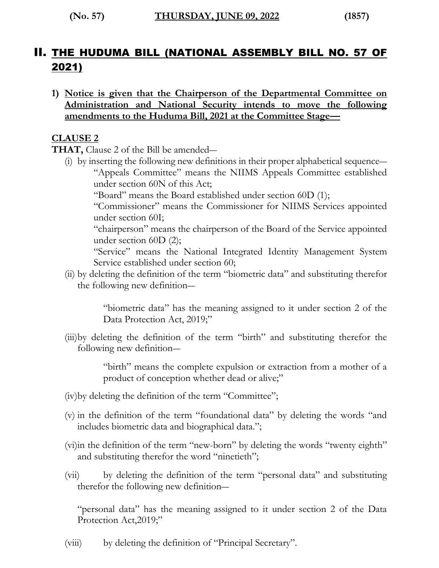# II. THE HUDUMA BILL (NATIONAL ASSEMBLY BILL NO. 57 OF 2021)

**1) Notice is given that the Chairperson of the Departmental Committee on Administration and National Security intends to move the following amendments to the Huduma Bill, 2021 at the Committee Stage—**

#### **CLAUSE 2**

**THAT,** Clause 2 of the Bill be amended―

(i) by inserting the following new definitions in their proper alphabetical sequence― "Appeals Committee" means the NIIMS Appeals Committee established under section 60N of this Act;

"Board" means the Board established under section 60D (1);

"Commissioner" means the Commissioner for NIIMS Services appointed under section 60I;

"chairperson" means the chairperson of the Board of the Service appointed under section 60D (2);

"Service" means the National Integrated Identity Management System Service established under section 60;

(ii) by deleting the definition of the term "biometric data" and substituting therefor the following new definition―

> "biometric data" has the meaning assigned to it under section 2 of the Data Protection Act, 2019;"

(iii)by deleting the definition of the term "birth" and substituting therefor the following new definition―

> "birth" means the complete expulsion or extraction from a mother of a product of conception whether dead or alive;"

- (iv)by deleting the definition of the term "Committee";
- (v) in the definition of the term "foundational data" by deleting the words "and includes biometric data and biographical data.";
- (vi)in the definition of the term "new-born" by deleting the words "twenty eighth" and substituting therefor the word "ninetieth";
- (vii) by deleting the definition of the term "personal data" and substituting therefor the following new definition―

"personal data" has the meaning assigned to it under section 2 of the Data Protection Act, 2019;"

(viii) by deleting the definition of "Principal Secretary".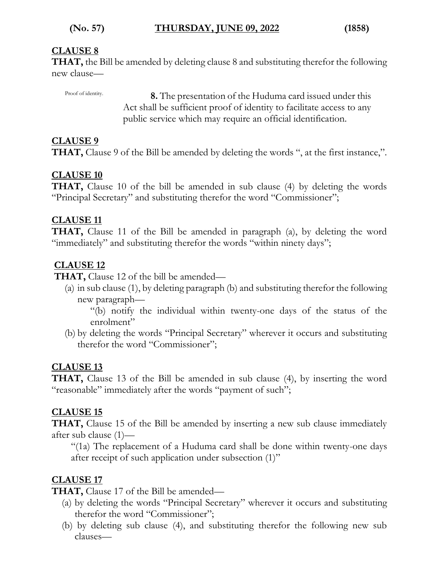#### **CLAUSE 8**

Proof of identity.

**THAT,** the Bill be amended by deleting clause 8 and substituting therefor the following new clause—

> **8.** The presentation of the Huduma card issued under this Act shall be sufficient proof of identity to facilitate access to any public service which may require an official identification.

#### **CLAUSE 9**

**THAT,** Clause 9 of the Bill be amended by deleting the words ", at the first instance,".

#### **CLAUSE 10**

**THAT,** Clause 10 of the bill be amended in sub clause (4) by deleting the words "Principal Secretary" and substituting therefor the word "Commissioner";

#### **CLAUSE 11**

**THAT,** Clause 11 of the Bill be amended in paragraph (a), by deleting the word "immediately" and substituting therefor the words "within ninety days";

#### **CLAUSE 12**

**THAT,** Clause 12 of the bill be amended—

(a) in sub clause (1), by deleting paragraph (b) and substituting therefor the following new paragraph—

"(b) notify the individual within twenty-one days of the status of the enrolment"

(b) by deleting the words "Principal Secretary" wherever it occurs and substituting therefor the word "Commissioner";

#### **CLAUSE 13**

**THAT,** Clause 13 of the Bill be amended in sub clause (4), by inserting the word "reasonable" immediately after the words "payment of such";

#### **CLAUSE 15**

**THAT,** Clause 15 of the Bill be amended by inserting a new sub clause immediately after sub clause (1)—

"(1a) The replacement of a Huduma card shall be done within twenty-one days after receipt of such application under subsection (1)"

#### **CLAUSE 17**

**THAT,** Clause 17 of the Bill be amended—

- (a) by deleting the words "Principal Secretary" wherever it occurs and substituting therefor the word "Commissioner";
- (b) by deleting sub clause (4), and substituting therefor the following new sub clauses—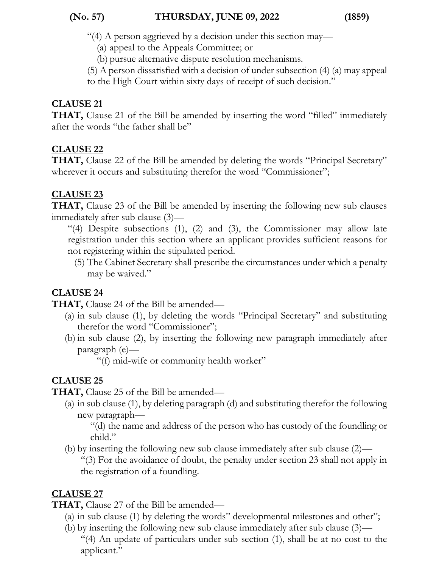"(4) A person aggrieved by a decision under this section may—

(a) appeal to the Appeals Committee; or

(b) pursue alternative dispute resolution mechanisms.

(5) A person dissatisfied with a decision of under subsection (4) (a) may appeal

to the High Court within sixty days of receipt of such decision."

#### **CLAUSE 21**

**THAT,** Clause 21 of the Bill be amended by inserting the word "filled" immediately after the words "the father shall be"

#### **CLAUSE 22**

**THAT,** Clause 22 of the Bill be amended by deleting the words "Principal Secretary" wherever it occurs and substituting therefor the word "Commissioner";

#### **CLAUSE 23**

**THAT,** Clause 23 of the Bill be amended by inserting the following new sub clauses immediately after sub clause (3)—

"(4) Despite subsections (1), (2) and (3), the Commissioner may allow late registration under this section where an applicant provides sufficient reasons for not registering within the stipulated period.

(5) The Cabinet Secretary shall prescribe the circumstances under which a penalty may be waived."

### **CLAUSE 24**

**THAT,** Clause 24 of the Bill be amended—

- (a) in sub clause (1), by deleting the words "Principal Secretary" and substituting therefor the word "Commissioner";
- (b) in sub clause (2), by inserting the following new paragraph immediately after paragraph (e)—

"(f) mid-wife or community health worker"

### **CLAUSE 25**

**THAT,** Clause 25 of the Bill be amended—

(a) in sub clause (1), by deleting paragraph (d) and substituting therefor the following new paragraph—

"(d) the name and address of the person who has custody of the foundling or child."

(b) by inserting the following new sub clause immediately after sub clause (2)— "(3) For the avoidance of doubt, the penalty under section 23 shall not apply in the registration of a foundling.

### **CLAUSE 27**

**THAT,** Clause 27 of the Bill be amended—

- (a) in sub clause (1) by deleting the words" developmental milestones and other";
- (b) by inserting the following new sub clause immediately after sub clause (3)—

"(4) An update of particulars under sub section (1), shall be at no cost to the applicant."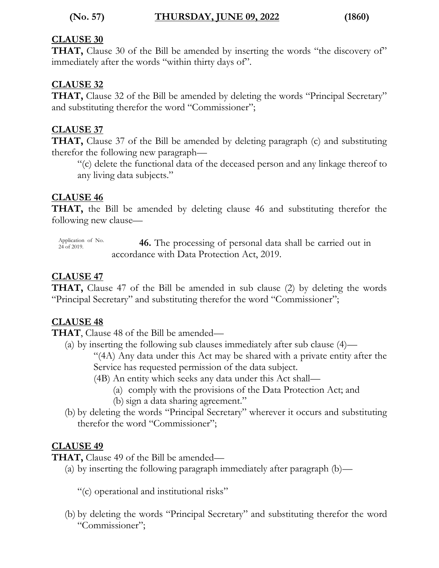#### **(No. 57) THURSDAY, JUNE 09, 2022 (1860)**

#### **CLAUSE 30**

**THAT,** Clause 30 of the Bill be amended by inserting the words "the discovery of" immediately after the words "within thirty days of".

#### **CLAUSE 32**

**THAT,** Clause 32 of the Bill be amended by deleting the words "Principal Secretary" and substituting therefor the word "Commissioner";

#### **CLAUSE 37**

**THAT,** Clause 37 of the Bill be amended by deleting paragraph (c) and substituting therefor the following new paragraph—

"(c) delete the functional data of the deceased person and any linkage thereof to any living data subjects."

#### **CLAUSE 46**

**THAT,** the Bill be amended by deleting clause 46 and substituting therefor the following new clause—

Application of No.<br>24 of 2019. **46.** The processing of personal data shall be carried out in accordance with Data Protection Act, 2019.

#### **CLAUSE 47**

**THAT,** Clause 47 of the Bill be amended in sub clause (2) by deleting the words "Principal Secretary" and substituting therefor the word "Commissioner";

#### **CLAUSE 48**

**THAT**, Clause 48 of the Bill be amended—

(a) by inserting the following sub clauses immediately after sub clause (4)—

"(4A) Any data under this Act may be shared with a private entity after the Service has requested permission of the data subject.

(4B) An entity which seeks any data under this Act shall—

- (a) comply with the provisions of the Data Protection Act; and
- (b) sign a data sharing agreement."
- (b) by deleting the words "Principal Secretary" wherever it occurs and substituting therefor the word "Commissioner";

#### **CLAUSE 49**

**THAT,** Clause 49 of the Bill be amended—

(a) by inserting the following paragraph immediately after paragraph (b)—

"(c) operational and institutional risks"

(b) by deleting the words "Principal Secretary" and substituting therefor the word "Commissioner";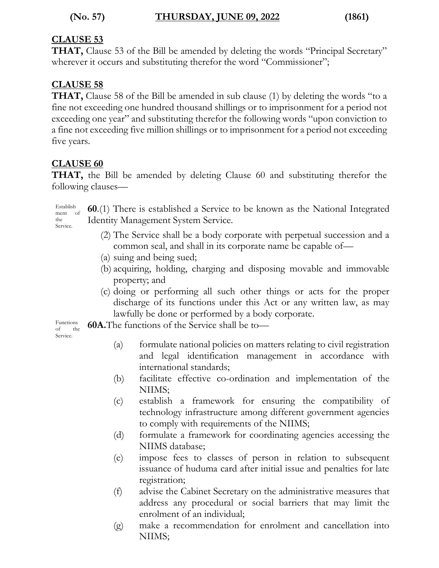#### **CLAUSE 53**

**THAT,** Clause 53 of the Bill be amended by deleting the words "Principal Secretary" wherever it occurs and substituting therefor the word "Commissioner";

#### **CLAUSE 58**

**THAT,** Clause 58 of the Bill be amended in sub clause (1) by deleting the words "to a fine not exceeding one hundred thousand shillings or to imprisonment for a period not exceeding one year" and substituting therefor the following words "upon conviction to a fine not exceeding five million shillings or to imprisonment for a period not exceeding five years.

#### **CLAUSE 60**

**THAT,** the Bill be amended by deleting Clause 60 and substituting therefor the following clauses—

Establish ment of the Service. **60**.(1) There is established a Service to be known as the National Integrated Identity Management System Service.

- (2) The Service shall be a body corporate with perpetual succession and a common seal, and shall in its corporate name be capable of—
- (a) suing and being sued;
- (b) acquiring, holding, charging and disposing movable and immovable property; and
- (c) doing or performing all such other things or acts for the proper discharge of its functions under this Act or any written law, as may lawfully be done or performed by a body corporate.

Functions **60A.**The functions of the Service shall be to—

of the Service.

- (a) formulate national policies on matters relating to civil registration and legal identification management in accordance with international standards;
- (b) facilitate effective co-ordination and implementation of the NIIMS;
- (c) establish a framework for ensuring the compatibility of technology infrastructure among different government agencies to comply with requirements of the NIIMS;
- (d) formulate a framework for coordinating agencies accessing the NIIMS database;
- (e) impose fees to classes of person in relation to subsequent issuance of huduma card after initial issue and penalties for late registration;
- (f) advise the Cabinet Secretary on the administrative measures that address any procedural or social barriers that may limit the enrolment of an individual;
- (g) make a recommendation for enrolment and cancellation into NIIMS;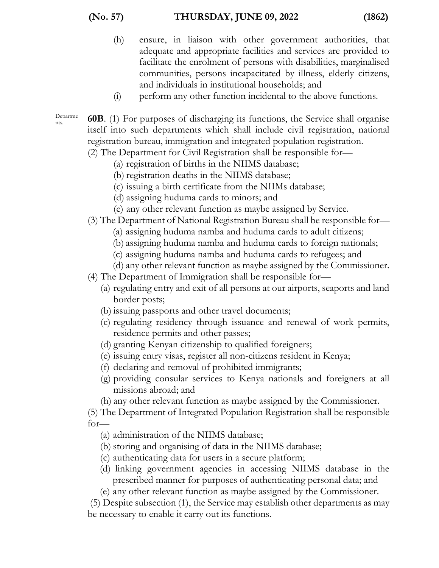- (h) ensure, in liaison with other government authorities, that adequate and appropriate facilities and services are provided to facilitate the enrolment of persons with disabilities, marginalised communities, persons incapacitated by illness, elderly citizens, and individuals in institutional households; and
- (i) perform any other function incidental to the above functions.

Departme

- nts. **60B**. (1) For purposes of discharging its functions, the Service shall organise itself into such departments which shall include civil registration, national registration bureau, immigration and integrated population registration.
	- (2) The Department for Civil Registration shall be responsible for—
		- (a) registration of births in the NIIMS database;
		- (b) registration deaths in the NIIMS database;
		- (c) issuing a birth certificate from the NIIMs database;
		- (d) assigning huduma cards to minors; and
		- (e) any other relevant function as maybe assigned by Service.
	- (3) The Department of National Registration Bureau shall be responsible for—
		- (a) assigning huduma namba and huduma cards to adult citizens;
		- (b) assigning huduma namba and huduma cards to foreign nationals;
		- (c) assigning huduma namba and huduma cards to refugees; and
		- (d) any other relevant function as maybe assigned by the Commissioner.
	- (4) The Department of Immigration shall be responsible for—
		- (a) regulating entry and exit of all persons at our airports, seaports and land border posts;
		- (b) issuing passports and other travel documents;
		- (c) regulating residency through issuance and renewal of work permits, residence permits and other passes;
		- (d) granting Kenyan citizenship to qualified foreigners;
		- (e) issuing entry visas, register all non-citizens resident in Kenya;
		- (f) declaring and removal of prohibited immigrants;
		- (g) providing consular services to Kenya nationals and foreigners at all missions abroad; and
		- (h) any other relevant function as maybe assigned by the Commissioner.

(5) The Department of Integrated Population Registration shall be responsible for—

- (a) administration of the NIIMS database;
- (b) storing and organising of data in the NIIMS database;
- (c) authenticating data for users in a secure platform;
- (d) linking government agencies in accessing NIIMS database in the prescribed manner for purposes of authenticating personal data; and
- (e) any other relevant function as maybe assigned by the Commissioner.

(5) Despite subsection (1), the Service may establish other departments as may be necessary to enable it carry out its functions.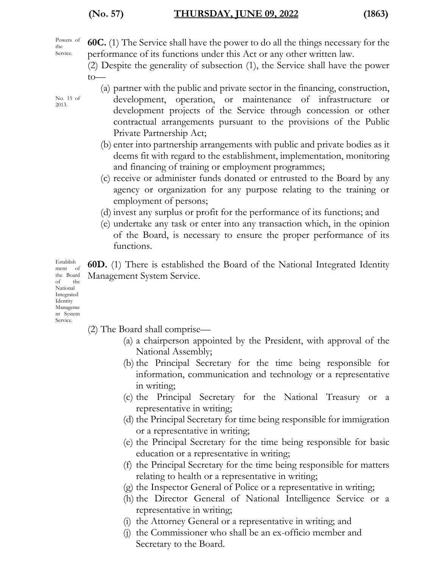Powers of the Service.

**60C.** (1) The Service shall have the power to do all the things necessary for the performance of its functions under this Act or any other written law.

(2) Despite the generality of subsection (1), the Service shall have the power to—

- (a) partner with the public and private sector in the financing, construction,
- development, operation, or maintenance of infrastructure or development projects of the Service through concession or other contractual arrangements pursuant to the provisions of the Public Private Partnership Act;
- (b) enter into partnership arrangements with public and private bodies as it deems fit with regard to the establishment, implementation, monitoring and financing of training or employment programmes;
- (c) receive or administer funds donated or entrusted to the Board by any agency or organization for any purpose relating to the training or employment of persons;
- (d) invest any surplus or profit for the performance of its functions; and
- (e) undertake any task or enter into any transaction which, in the opinion of the Board, is necessary to ensure the proper performance of its functions.

**60D.** (1) There is established the Board of the National Integrated Identity Management System Service.

Establish ment of the Board of the National Integrated Identity Manageme nt System Service.

- (2) The Board shall comprise—
	- (a) a chairperson appointed by the President, with approval of the National Assembly;
	- (b) the Principal Secretary for the time being responsible for information, communication and technology or a representative in writing;
	- (c) the Principal Secretary for the National Treasury or a representative in writing;
	- (d) the Principal Secretary for time being responsible for immigration or a representative in writing;
	- (e) the Principal Secretary for the time being responsible for basic education or a representative in writing;
	- (f) the Principal Secretary for the time being responsible for matters relating to health or a representative in writing;
	- (g) the Inspector General of Police or a representative in writing;
	- (h) the Director General of National Intelligence Service or a representative in writing;
	- (i) the Attorney General or a representative in writing; and
	- (j) the Commissioner who shall be an ex-officio member and Secretary to the Board.

No. 15 of 2013.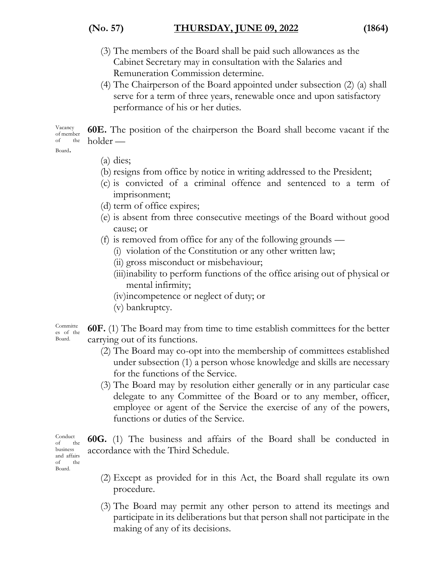#### **(No. 57) THURSDAY, JUNE 09, 2022 (1864)**

- 
- (3) The members of the Board shall be paid such allowances as the Cabinet Secretary may in consultation with the Salaries and Remuneration Commission determine.
- (4) The Chairperson of the Board appointed under subsection (2) (a) shall serve for a term of three years, renewable once and upon satisfactory performance of his or her duties.

Vacancy of member of the **60E.** The position of the chairperson the Board shall become vacant if the holder —

Board.

- (a) dies;
- (b) resigns from office by notice in writing addressed to the President;
- (c) is convicted of a criminal offence and sentenced to a term of imprisonment;
- (d) term of office expires;
- (e) is absent from three consecutive meetings of the Board without good cause; or
- (f) is removed from office for any of the following grounds
	- (i) violation of the Constitution or any other written law;
	- (ii) gross misconduct or misbehaviour;
	- (iii)inability to perform functions of the office arising out of physical or mental infirmity;
	- (iv)incompetence or neglect of duty; or
	- (v) bankruptcy.

Committe es of the Board. **60F.** (1) The Board may from time to time establish committees for the better carrying out of its functions.

- (2) The Board may co-opt into the membership of committees established under subsection (1) a person whose knowledge and skills are necessary for the functions of the Service.
- (3) The Board may by resolution either generally or in any particular case delegate to any Committee of the Board or to any member, officer, employee or agent of the Service the exercise of any of the powers, functions or duties of the Service.

Conduct of the business and affairs of the Board.

**60G.** (1) The business and affairs of the Board shall be conducted in accordance with the Third Schedule.

- (2) Except as provided for in this Act, the Board shall regulate its own procedure.
- (3) The Board may permit any other person to attend its meetings and participate in its deliberations but that person shall not participate in the making of any of its decisions.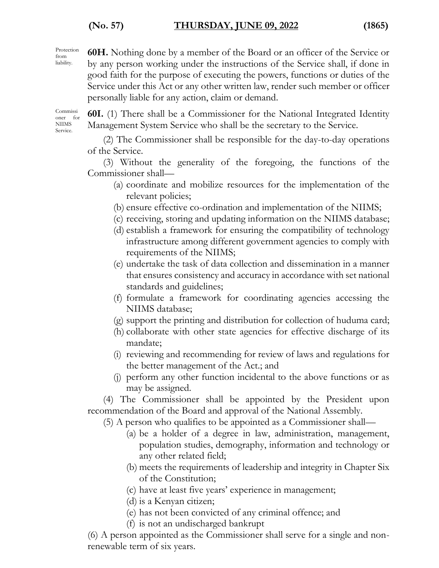#### **(No. 57) THURSDAY, JUNE 09, 2022 (1865)**

Protection from liability.

**60H.** Nothing done by a member of the Board or an officer of the Service or by any person working under the instructions of the Service shall, if done in good faith for the purpose of executing the powers, functions or duties of the Service under this Act or any other written law, render such member or officer personally liable for any action, claim or demand.

Commissi oner for NIIMS Service.

**60I.** (1) There shall be a Commissioner for the National Integrated Identity Management System Service who shall be the secretary to the Service.

(2) The Commissioner shall be responsible for the day-to-day operations of the Service.

(3) Without the generality of the foregoing, the functions of the Commissioner shall—

- (a) coordinate and mobilize resources for the implementation of the relevant policies;
- (b) ensure effective co-ordination and implementation of the NIIMS;
- (c) receiving, storing and updating information on the NIIMS database;
- (d) establish a framework for ensuring the compatibility of technology infrastructure among different government agencies to comply with requirements of the NIIMS;
- (e) undertake the task of data collection and dissemination in a manner that ensures consistency and accuracy in accordance with set national standards and guidelines;
- (f) formulate a framework for coordinating agencies accessing the NIIMS database;
- (g) support the printing and distribution for collection of huduma card;
- (h) collaborate with other state agencies for effective discharge of its mandate;
- (i) reviewing and recommending for review of laws and regulations for the better management of the Act.; and
- (j) perform any other function incidental to the above functions or as may be assigned.

(4) The Commissioner shall be appointed by the President upon recommendation of the Board and approval of the National Assembly.

(5) A person who qualifies to be appointed as a Commissioner shall—

- (a) be a holder of a degree in law, administration, management, population studies, demography, information and technology or any other related field;
- (b) meets the requirements of leadership and integrity in Chapter Six of the Constitution;
- (c) have at least five years' experience in management;
- (d) is a Kenyan citizen;
- (e) has not been convicted of any criminal offence; and
- (f) is not an undischarged bankrupt

(6) A person appointed as the Commissioner shall serve for a single and nonrenewable term of six years.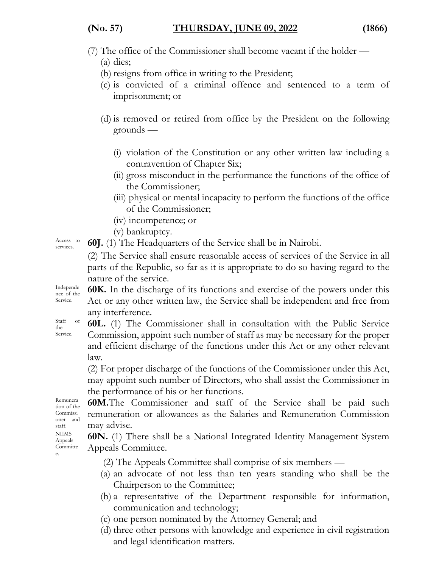#### **(No. 57) THURSDAY, JUNE 09, 2022 (1866)**

#### (7) The office of the Commissioner shall become vacant if the holder —

(a) dies;

- (b) resigns from office in writing to the President;
- (c) is convicted of a criminal offence and sentenced to a term of imprisonment; or
- (d) is removed or retired from office by the President on the following grounds —
	- (i) violation of the Constitution or any other written law including a contravention of Chapter Six;
	- (ii) gross misconduct in the performance the functions of the office of the Commissioner;
	- (iii) physical or mental incapacity to perform the functions of the office of the Commissioner;
	- (iv) incompetence; or
	- (v) bankruptcy.

Access to **60J.** (1) The Headquarters of the Service shall be in Nairobi.

(2) The Service shall ensure reasonable access of services of the Service in all parts of the Republic, so far as it is appropriate to do so having regard to the nature of the service.

**60K.** In the discharge of its functions and exercise of the powers under this Act or any other written law, the Service shall be independent and free from any interference.

Staff of **60L.** (1) The Commissioner shall in consultation with the Public Service Commission, appoint such number of staff as may be necessary for the proper and efficient discharge of the functions under this Act or any other relevant law.

(2) For proper discharge of the functions of the Commissioner under this Act, may appoint such number of Directors, who shall assist the Commissioner in the performance of his or her functions.

Remunera tion of the Commissi oner and staff. NIIMS Appeals Committe e.

**60M.**The Commissioner and staff of the Service shall be paid such remuneration or allowances as the Salaries and Remuneration Commission may advise.

**60N.** (1) There shall be a National Integrated Identity Management System Appeals Committee.

(2) The Appeals Committee shall comprise of six members —

- (a) an advocate of not less than ten years standing who shall be the Chairperson to the Committee;
- (b) a representative of the Department responsible for information, communication and technology;
- (c) one person nominated by the Attorney General; and
- (d) three other persons with knowledge and experience in civil registration and legal identification matters.

Access to

Independe nce of the Service.

the Service.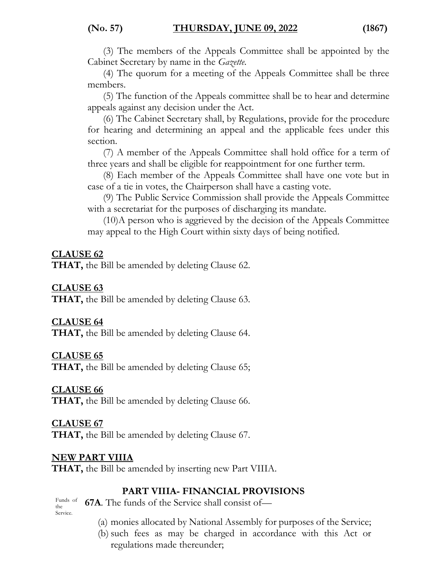(3) The members of the Appeals Committee shall be appointed by the Cabinet Secretary by name in the *Gazette*.

(4) The quorum for a meeting of the Appeals Committee shall be three members.

(5) The function of the Appeals committee shall be to hear and determine appeals against any decision under the Act.

(6) The Cabinet Secretary shall, by Regulations, provide for the procedure for hearing and determining an appeal and the applicable fees under this section.

(7) A member of the Appeals Committee shall hold office for a term of three years and shall be eligible for reappointment for one further term.

(8) Each member of the Appeals Committee shall have one vote but in case of a tie in votes, the Chairperson shall have a casting vote.

(9) The Public Service Commission shall provide the Appeals Committee with a secretariat for the purposes of discharging its mandate.

(10)A person who is aggrieved by the decision of the Appeals Committee may appeal to the High Court within sixty days of being notified.

#### **CLAUSE 62**

**THAT,** the Bill be amended by deleting Clause 62.

#### **CLAUSE 63**

**THAT,** the Bill be amended by deleting Clause 63.

#### **CLAUSE 64**

**THAT,** the Bill be amended by deleting Clause 64.

#### **CLAUSE 65**

**THAT,** the Bill be amended by deleting Clause 65;

#### **CLAUSE 66**

**THAT,** the Bill be amended by deleting Clause 66.

### **CLAUSE 67**

**THAT,** the Bill be amended by deleting Clause 67.

#### **NEW PART VIIIA**

**THAT,** the Bill be amended by inserting new Part VIIIA.

#### **PART VIIIA- FINANCIAL PROVISIONS**

Funds of the Service. **67A**. The funds of the Service shall consist of—

- (a) monies allocated by National Assembly for purposes of the Service;
- (b) such fees as may be charged in accordance with this Act or regulations made thereunder;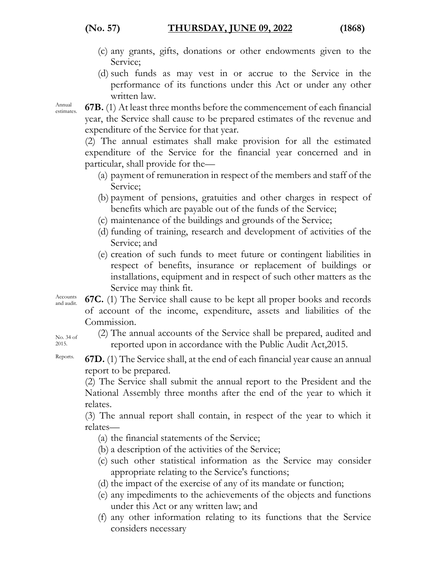- (c) any grants, gifts, donations or other endowments given to the Service;
- (d) such funds as may vest in or accrue to the Service in the performance of its functions under this Act or under any other written law.

Annual

 $\frac{\text{Annual}}{\text{estimates}}$  **67B.** (1) At least three months before the commencement of each financial year, the Service shall cause to be prepared estimates of the revenue and expenditure of the Service for that year.

(2) The annual estimates shall make provision for all the estimated expenditure of the Service for the financial year concerned and in particular, shall provide for the—

- (a) payment of remuneration in respect of the members and staff of the Service;
- (b) payment of pensions, gratuities and other charges in respect of benefits which are payable out of the funds of the Service;
- (c) maintenance of the buildings and grounds of the Service;
- (d) funding of training, research and development of activities of the Service; and
- (e) creation of such funds to meet future or contingent liabilities in respect of benefits, insurance or replacement of buildings or installations, equipment and in respect of such other matters as the Service may think fit.

Accounts<br>and audit.

**67C.** (1) The Service shall cause to be kept all proper books and records of account of the income, expenditure, assets and liabilities of the Commission.

No. 34 of 2015.

(2) The annual accounts of the Service shall be prepared, audited and reported upon in accordance with the Public Audit Act,2015.

Reports. **67D.** (1) The Service shall, at the end of each financial year cause an annual report to be prepared.

(2) The Service shall submit the annual report to the President and the National Assembly three months after the end of the year to which it relates.

(3) The annual report shall contain, in respect of the year to which it relates—

(a) the financial statements of the Service;

- (b) a description of the activities of the Service;
- (c) such other statistical information as the Service may consider appropriate relating to the Service's functions;
- (d) the impact of the exercise of any of its mandate or function;
- (e) any impediments to the achievements of the objects and functions under this Act or any written law; and
- (f) any other information relating to its functions that the Service considers necessary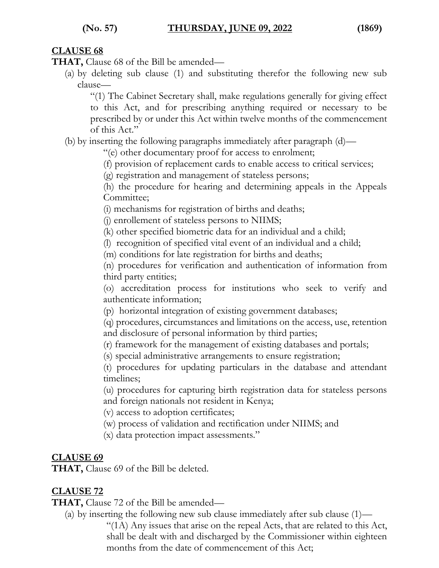#### **CLAUSE 68**

**THAT,** Clause 68 of the Bill be amended—

(a) by deleting sub clause (1) and substituting therefor the following new sub clause—

"(1) The Cabinet Secretary shall, make regulations generally for giving effect to this Act, and for prescribing anything required or necessary to be prescribed by or under this Act within twelve months of the commencement of this Act."

(b) by inserting the following paragraphs immediately after paragraph (d)—

"(e) other documentary proof for access to enrolment;

(f) provision of replacement cards to enable access to critical services;

(g) registration and management of stateless persons;

(h) the procedure for hearing and determining appeals in the Appeals Committee;

(i) mechanisms for registration of births and deaths;

(j) enrollement of stateless persons to NIIMS;

(k) other specified biometric data for an individual and a child;

(l) recognition of specified vital event of an individual and a child;

(m) conditions for late registration for births and deaths;

(n) procedures for verification and authentication of information from third party entities;

(o) accreditation process for institutions who seek to verify and authenticate information;

(p) horizontal integration of existing government databases;

(q) procedures, circumstances and limitations on the access, use, retention and disclosure of personal information by third parties;

(r) framework for the management of existing databases and portals;

(s) special administrative arrangements to ensure registration;

(t) procedures for updating particulars in the database and attendant timelines;

(u) procedures for capturing birth registration data for stateless persons and foreign nationals not resident in Kenya;

(v) access to adoption certificates;

(w) process of validation and rectification under NIIMS; and

(x) data protection impact assessments."

#### **CLAUSE 69**

**THAT,** Clause 69 of the Bill be deleted.

### **CLAUSE 72**

**THAT,** Clause 72 of the Bill be amended—

(a) by inserting the following new sub clause immediately after sub clause (1)—

"(1A) Any issues that arise on the repeal Acts, that are related to this Act, shall be dealt with and discharged by the Commissioner within eighteen months from the date of commencement of this Act;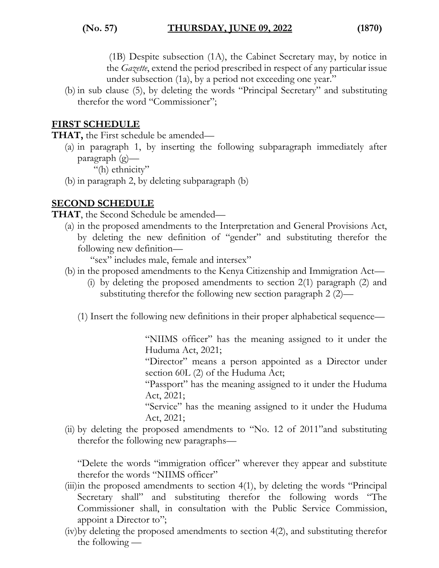(1B) Despite subsection (1A), the Cabinet Secretary may, by notice in the *Gazette*, extend the period prescribed in respect of any particular issue under subsection (1a), by a period not exceeding one year."

(b) in sub clause (5), by deleting the words "Principal Secretary" and substituting therefor the word "Commissioner";

#### **FIRST SCHEDULE**

**THAT,** the First schedule be amended—

(a) in paragraph 1, by inserting the following subparagraph immediately after paragraph (g)—

"(h) ethnicity"

(b) in paragraph 2, by deleting subparagraph (b)

#### **SECOND SCHEDULE**

**THAT**, the Second Schedule be amended—

(a) in the proposed amendments to the Interpretation and General Provisions Act, by deleting the new definition of "gender" and substituting therefor the following new definition—

"sex" includes male, female and intersex"

- (b) in the proposed amendments to the Kenya Citizenship and Immigration Act—
	- (i) by deleting the proposed amendments to section 2(1) paragraph (2) and substituting therefor the following new section paragraph 2 (2)—
	- (1) Insert the following new definitions in their proper alphabetical sequence—

"NIIMS officer" has the meaning assigned to it under the Huduma Act, 2021;

"Director" means a person appointed as a Director under section 60L (2) of the Huduma Act;

"Passport" has the meaning assigned to it under the Huduma Act, 2021;

"Service" has the meaning assigned to it under the Huduma Act, 2021;

(ii) by deleting the proposed amendments to "No. 12 of 2011"and substituting therefor the following new paragraphs—

"Delete the words "immigration officer" wherever they appear and substitute therefor the words "NIIMS officer"

- (iii)in the proposed amendments to section 4(1), by deleting the words "Principal Secretary shall" and substituting therefor the following words "The Commissioner shall, in consultation with the Public Service Commission, appoint a Director to";
- (iv)by deleting the proposed amendments to section 4(2), and substituting therefor the following —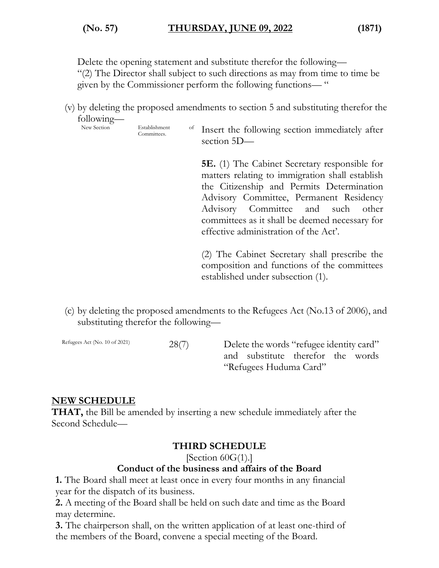Delete the opening statement and substitute therefor the following—

"(2) The Director shall subject to such directions as may from time to time be given by the Commissioner perform the following functions— "

(v) by deleting the proposed amendments to section 5 and substituting therefor the following—

New Section Establishment

Establishment of Insert the following section immediately after section 5D—

> **5E.** (1) The Cabinet Secretary responsible for matters relating to immigration shall establish the Citizenship and Permits Determination Advisory Committee, Permanent Residency Advisory Committee and such other committees as it shall be deemed necessary for effective administration of the Act'.

> (2) The Cabinet Secretary shall prescribe the composition and functions of the committees established under subsection (1).

(c) by deleting the proposed amendments to the Refugees Act (No.13 of 2006), and substituting therefor the following—

Refugees Act (No. 10 of 2021) 28(7) Delete the words "refugee identity card" and substitute therefor the words "Refugees Huduma Card"

#### **NEW SCHEDULE**

**THAT,** the Bill be amended by inserting a new schedule immediately after the Second Schedule—

#### **THIRD SCHEDULE**

[Section  $60G(1)$ .]

#### **Conduct of the business and affairs of the Board**

**1.** The Board shall meet at least once in every four months in any financial year for the dispatch of its business.

**2.** A meeting of the Board shall be held on such date and time as the Board may determine.

**3.** The chairperson shall, on the written application of at least one-third of the members of the Board, convene a special meeting of the Board.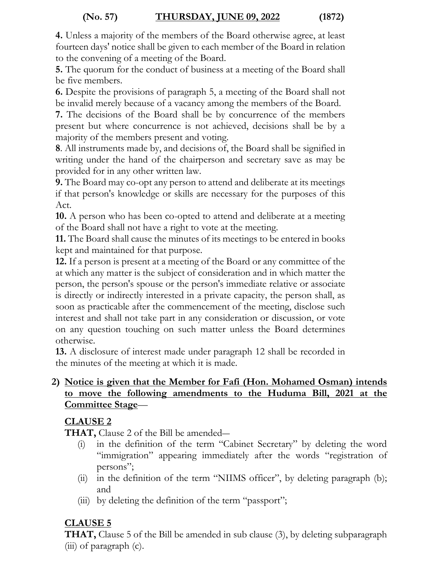**4.** Unless a majority of the members of the Board otherwise agree, at least fourteen days' notice shall be given to each member of the Board in relation to the convening of a meeting of the Board.

**5.** The quorum for the conduct of business at a meeting of the Board shall be five members.

**6.** Despite the provisions of paragraph 5, a meeting of the Board shall not be invalid merely because of a vacancy among the members of the Board.

**7.** The decisions of the Board shall be by concurrence of the members present but where concurrence is not achieved, decisions shall be by a majority of the members present and voting.

**8**. All instruments made by, and decisions of, the Board shall be signified in writing under the hand of the chairperson and secretary save as may be provided for in any other written law.

**9.** The Board may co-opt any person to attend and deliberate at its meetings if that person's knowledge or skills are necessary for the purposes of this Act.

**10.** A person who has been co-opted to attend and deliberate at a meeting of the Board shall not have a right to vote at the meeting.

**11.** The Board shall cause the minutes of its meetings to be entered in books kept and maintained for that purpose.

**12.** If a person is present at a meeting of the Board or any committee of the at which any matter is the subject of consideration and in which matter the person, the person's spouse or the person's immediate relative or associate is directly or indirectly interested in a private capacity, the person shall, as soon as practicable after the commencement of the meeting, disclose such interest and shall not take part in any consideration or discussion, or vote on any question touching on such matter unless the Board determines otherwise.

**13.** A disclosure of interest made under paragraph 12 shall be recorded in the minutes of the meeting at which it is made.

#### **2) Notice is given that the Member for Fafi (Hon. Mohamed Osman) intends to move the following amendments to the Huduma Bill, 2021 at the Committee Stage**—

#### **CLAUSE 2**

**THAT,** Clause 2 of the Bill be amended―

- (i) in the definition of the term "Cabinet Secretary" by deleting the word "immigration" appearing immediately after the words "registration of persons";
- (ii) in the definition of the term "NIIMS officer", by deleting paragraph (b); and
- (iii) by deleting the definition of the term "passport";

### **CLAUSE 5**

**THAT,** Clause 5 of the Bill be amended in sub clause (3), by deleting subparagraph (iii) of paragraph (c).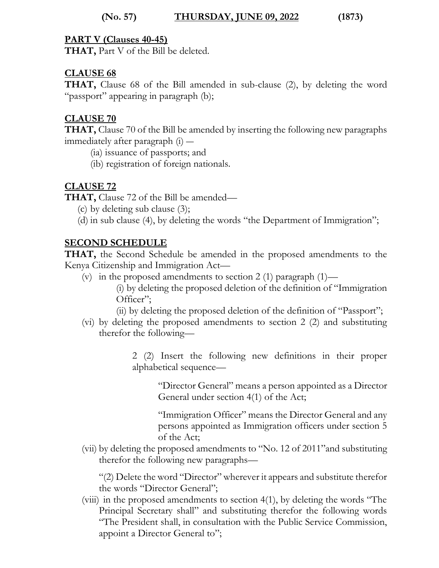#### **(No. 57) THURSDAY, JUNE 09, 2022 (1873)**

#### **PART V (Clauses 40-45)**

**THAT,** Part V of the Bill be deleted.

#### **CLAUSE 68**

**THAT,** Clause 68 of the Bill amended in sub-clause (2), by deleting the word "passport" appearing in paragraph (b);

#### **CLAUSE 70**

**THAT,** Clause 70 of the Bill be amended by inserting the following new paragraphs immediately after paragraph (i) ―

(ia) issuance of passports; and

(ib) registration of foreign nationals.

### **CLAUSE 72**

**THAT,** Clause 72 of the Bill be amended—

- (c) by deleting sub clause (3);
- (d) in sub clause (4), by deleting the words "the Department of Immigration";

#### **SECOND SCHEDULE**

**THAT,** the Second Schedule be amended in the proposed amendments to the Kenya Citizenship and Immigration Act—

(v) in the proposed amendments to section 2 (1) paragraph  $(1)$ —

(i) by deleting the proposed deletion of the definition of "Immigration Officer";

- (ii) by deleting the proposed deletion of the definition of "Passport";
- (vi) by deleting the proposed amendments to section 2 (2) and substituting therefor the following—

2 (2) Insert the following new definitions in their proper alphabetical sequence—

"Director General" means a person appointed as a Director General under section 4(1) of the Act;

"Immigration Officer" means the Director General and any persons appointed as Immigration officers under section 5 of the Act;

(vii) by deleting the proposed amendments to "No. 12 of 2011"and substituting therefor the following new paragraphs—

"(2) Delete the word "Director" wherever it appears and substitute therefor the words "Director General";

(viii) in the proposed amendments to section 4(1), by deleting the words "The Principal Secretary shall" and substituting therefor the following words "The President shall, in consultation with the Public Service Commission, appoint a Director General to";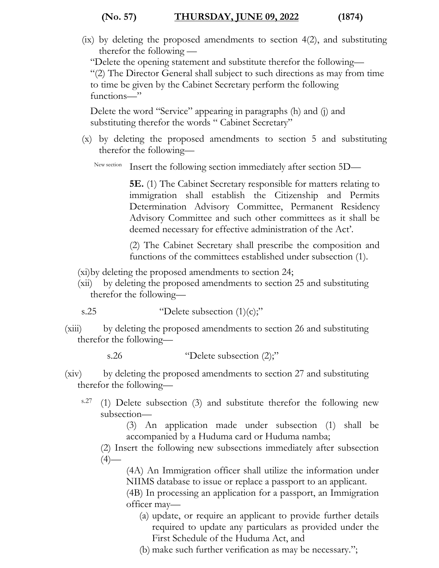#### **(No. 57) THURSDAY, JUNE 09, 2022 (1874)**

(ix) by deleting the proposed amendments to section 4(2), and substituting therefor the following —

"Delete the opening statement and substitute therefor the following—

"(2) The Director General shall subject to such directions as may from time to time be given by the Cabinet Secretary perform the following functions—"

Delete the word "Service" appearing in paragraphs (h) and (j) and substituting therefor the words " Cabinet Secretary"

(x) by deleting the proposed amendments to section 5 and substituting therefor the following—

New section Insert the following section immediately after section 5D—

**5E.** (1) The Cabinet Secretary responsible for matters relating to immigration shall establish the Citizenship and Permits Determination Advisory Committee, Permanent Residency Advisory Committee and such other committees as it shall be deemed necessary for effective administration of the Act'.

(2) The Cabinet Secretary shall prescribe the composition and functions of the committees established under subsection (1).

- (xi)by deleting the proposed amendments to section 24;
- (xii) by deleting the proposed amendments to section 25 and substituting therefor the following—

s.25  $\qquad \qquad \text{Pelete subsection (1)(c)}$ 

(xiii) by deleting the proposed amendments to section 26 and substituting therefor the following—

s.26 "Delete subsection (2);"

- (xiv) by deleting the proposed amendments to section 27 and substituting therefor the following
	- s.27 (1) Delete subsection (3) and substitute therefor the following new subsection—

(3) An application made under subsection (1) shall be accompanied by a Huduma card or Huduma namba;

(2) Insert the following new subsections immediately after subsection  $(4)$ —

(4A) An Immigration officer shall utilize the information under NIIMS database to issue or replace a passport to an applicant.

(4B) In processing an application for a passport, an Immigration officer may—

- (a) update, or require an applicant to provide further details required to update any particulars as provided under the First Schedule of the Huduma Act, and
- (b) make such further verification as may be necessary.";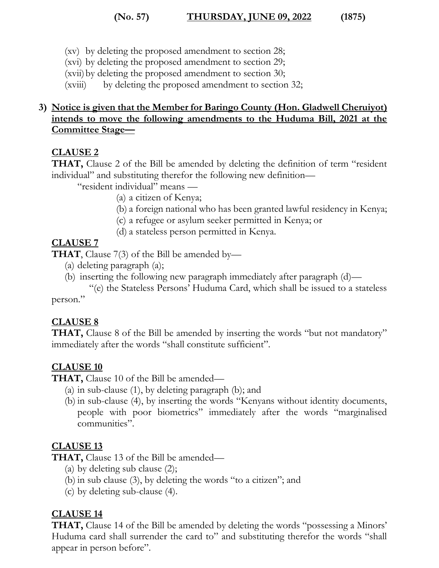#### **(No. 57) THURSDAY, JUNE 09, 2022 (1875)**

- (xv) by deleting the proposed amendment to section 28;
- (xvi) by deleting the proposed amendment to section 29;
- (xvii)by deleting the proposed amendment to section 30;
- (xviii) by deleting the proposed amendment to section 32;

#### **3) Notice is given that the Member for Baringo County (Hon. Gladwell Cheruiyot) intends to move the following amendments to the Huduma Bill, 2021 at the Committee Stage—**

#### **CLAUSE 2**

**THAT,** Clause 2 of the Bill be amended by deleting the definition of term "resident individual" and substituting therefor the following new definition—

"resident individual" means —

- (a) a citizen of Kenya;
- (b) a foreign national who has been granted lawful residency in Kenya;
- (c) a refugee or asylum seeker permitted in Kenya; or
- (d) a stateless person permitted in Kenya.

#### **CLAUSE 7**

**THAT**, Clause 7(3) of the Bill be amended by—

- (a) deleting paragraph (a);
- (b) inserting the following new paragraph immediately after paragraph (d)—

 "(e) the Stateless Persons' Huduma Card, which shall be issued to a stateless person."

#### **CLAUSE 8**

**THAT,** Clause 8 of the Bill be amended by inserting the words "but not mandatory" immediately after the words "shall constitute sufficient".

#### **CLAUSE 10**

**THAT,** Clause 10 of the Bill be amended—

- (a) in sub-clause (1), by deleting paragraph (b); and
- (b) in sub-clause (4), by inserting the words "Kenyans without identity documents, people with poor biometrics" immediately after the words "marginalised communities".

#### **CLAUSE 13**

**THAT,** Clause 13 of the Bill be amended—

- (a) by deleting sub clause (2);
- (b) in sub clause (3), by deleting the words "to a citizen"; and
- (c) by deleting sub-clause (4).

#### **CLAUSE 14**

**THAT,** Clause 14 of the Bill be amended by deleting the words "possessing a Minors' Huduma card shall surrender the card to" and substituting therefor the words "shall appear in person before".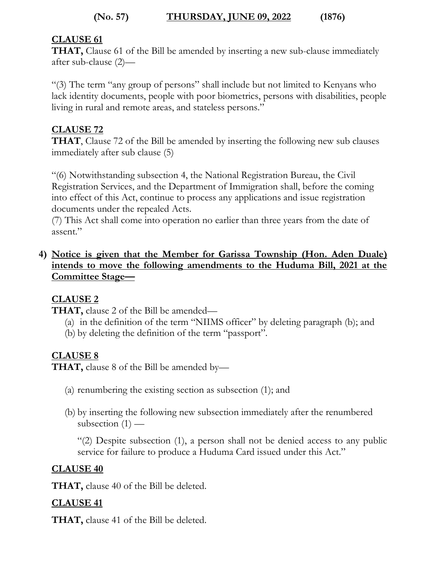#### **(No. 57) THURSDAY, JUNE 09, 2022 (1876)**

#### **CLAUSE 61**

**THAT,** Clause 61 of the Bill be amended by inserting a new sub-clause immediately after sub-clause (2)—

"(3) The term "any group of persons" shall include but not limited to Kenyans who lack identity documents, people with poor biometrics, persons with disabilities, people living in rural and remote areas, and stateless persons."

#### **CLAUSE 72**

**THAT**, Clause 72 of the Bill be amended by inserting the following new sub clauses immediately after sub clause (5)

"(6) Notwithstanding subsection 4, the National Registration Bureau, the Civil Registration Services, and the Department of Immigration shall, before the coming into effect of this Act, continue to process any applications and issue registration documents under the repealed Acts.

(7) This Act shall come into operation no earlier than three years from the date of assent."

#### **4) Notice is given that the Member for Garissa Township (Hon. Aden Duale) intends to move the following amendments to the Huduma Bill, 2021 at the Committee Stage—**

### **CLAUSE 2**

**THAT,** clause 2 of the Bill be amended—

- (a) in the definition of the term "NIIMS officer" by deleting paragraph (b); and
- (b) by deleting the definition of the term "passport".

### **CLAUSE 8**

**THAT,** clause 8 of the Bill be amended by—

- (a) renumbering the existing section as subsection (1); and
- (b) by inserting the following new subsection immediately after the renumbered subsection  $(1)$  —

"(2) Despite subsection (1), a person shall not be denied access to any public service for failure to produce a Huduma Card issued under this Act."

#### **CLAUSE 40**

**THAT,** clause 40 of the Bill be deleted.

#### **CLAUSE 41**

**THAT,** clause 41 of the Bill be deleted.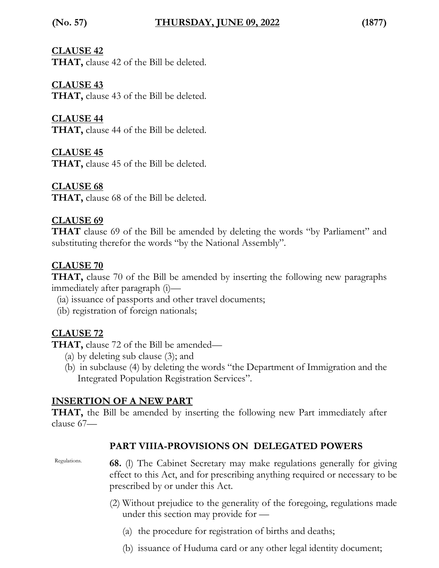#### **CLAUSE 42**

**THAT,** clause 42 of the Bill be deleted.

#### **CLAUSE 43**

**THAT,** clause 43 of the Bill be deleted.

#### **CLAUSE 44**

**THAT,** clause 44 of the Bill be deleted.

#### **CLAUSE 45**

**THAT,** clause 45 of the Bill be deleted.

#### **CLAUSE 68**

**THAT,** clause 68 of the Bill be deleted.

#### **CLAUSE 69**

**THAT** clause 69 of the Bill be amended by deleting the words "by Parliament" and substituting therefor the words "by the National Assembly".

#### **CLAUSE 70**

**THAT,** clause 70 of the Bill be amended by inserting the following new paragraphs immediately after paragraph (i)—

- (ia) issuance of passports and other travel documents;
- (ib) registration of foreign nationals;

### **CLAUSE 72**

**THAT,** clause 72 of the Bill be amended—

- (a) by deleting sub clause (3); and
- (b) in subclause (4) by deleting the words "the Department of Immigration and the Integrated Population Registration Services".

### **INSERTION OF A NEW PART**

**THAT,** the Bill be amended by inserting the following new Part immediately after clause 67—

#### **PART VIIIA-PROVISIONS ON DELEGATED POWERS**

Regulations. **68.** (l) The Cabinet Secretary may make regulations generally for giving effect to this Act, and for prescribing anything required or necessary to be prescribed by or under this Act.

- (2) Without prejudice to the generality of the foregoing, regulations made under this section may provide for —
	- (a) the procedure for registration of births and deaths;
	- (b) issuance of Huduma card or any other legal identity document;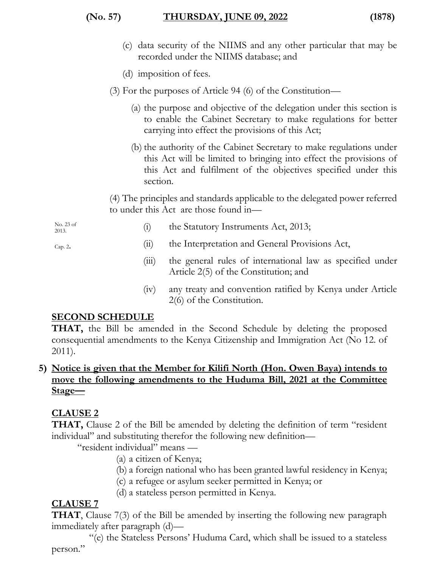#### **(No. 57) THURSDAY, JUNE 09, 2022 (1878)**

- (c) data security of the NIIMS and any other particular that may be recorded under the NIIMS database; and
- (d) imposition of fees.
- (3) For the purposes of Article 94 (6) of the Constitution—
	- (a) the purpose and objective of the delegation under this section is to enable the Cabinet Secretary to make regulations for better carrying into effect the provisions of this Act;
	- (b) the authority of the Cabinet Secretary to make regulations under this Act will be limited to bringing into effect the provisions of this Act and fulfilment of the objectives specified under this section.

(4) The principles and standards applicable to the delegated power referred to under this Act are those found in—

No. 23 of 2013.

Cap. 2.

- (i) the Statutory Instruments Act, 2013;
- (ii) the Interpretation and General Provisions Act,
- (iii) the general rules of international law as specified under Article 2(5) of the Constitution; and
- (iv) any treaty and convention ratified by Kenya under Article 2(6) of the Constitution.

#### **SECOND SCHEDULE**

**THAT,** the Bill be amended in the Second Schedule by deleting the proposed consequential amendments to the Kenya Citizenship and Immigration Act (No 12. of 2011).

#### **5) Notice is given that the Member for Kilifi North (Hon. Owen Baya) intends to move the following amendments to the Huduma Bill, 2021 at the Committee Stage—**

### **CLAUSE 2**

**THAT,** Clause 2 of the Bill be amended by deleting the definition of term "resident individual" and substituting therefor the following new definition—

"resident individual" means —

- (a) a citizen of Kenya;
- (b) a foreign national who has been granted lawful residency in Kenya;
- (c) a refugee or asylum seeker permitted in Kenya; or
- (d) a stateless person permitted in Kenya.

#### **CLAUSE 7**

**THAT**, Clause 7(3) of the Bill be amended by inserting the following new paragraph immediately after paragraph (d)—

 "(e) the Stateless Persons' Huduma Card, which shall be issued to a stateless person."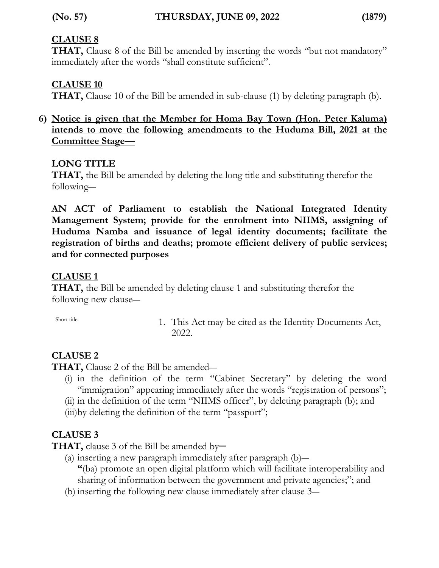#### **CLAUSE 8**

**THAT,** Clause 8 of the Bill be amended by inserting the words "but not mandatory" immediately after the words "shall constitute sufficient".

#### **CLAUSE 10**

**THAT,** Clause 10 of the Bill be amended in sub-clause (1) by deleting paragraph (b).

#### **6) Notice is given that the Member for Homa Bay Town (Hon. Peter Kaluma) intends to move the following amendments to the Huduma Bill, 2021 at the Committee Stage—**

#### **LONG TITLE**

**THAT,** the Bill be amended by deleting the long title and substituting therefor the following―

**AN ACT of Parliament to establish the National Integrated Identity Management System; provide for the enrolment into NIIMS, assigning of Huduma Namba and issuance of legal identity documents; facilitate the registration of births and deaths; promote efficient delivery of public services; and for connected purposes**

#### **CLAUSE 1**

**THAT,** the Bill be amended by deleting clause 1 and substituting therefor the following new clause―

Short title. 1. This Act may be cited as the Identity Documents Act, 2022.

#### **CLAUSE 2**

**THAT,** Clause 2 of the Bill be amended―

- (i) in the definition of the term "Cabinet Secretary" by deleting the word "immigration" appearing immediately after the words "registration of persons";
- (ii) in the definition of the term "NIIMS officer", by deleting paragraph (b); and
- (iii)by deleting the definition of the term "passport";

#### **CLAUSE 3**

THAT, clause 3 of the Bill be amended by-

- (a) inserting a new paragraph immediately after paragraph (b)― **"**(ba) promote an open digital platform which will facilitate interoperability and sharing of information between the government and private agencies;"; and
- (b) inserting the following new clause immediately after clause 3―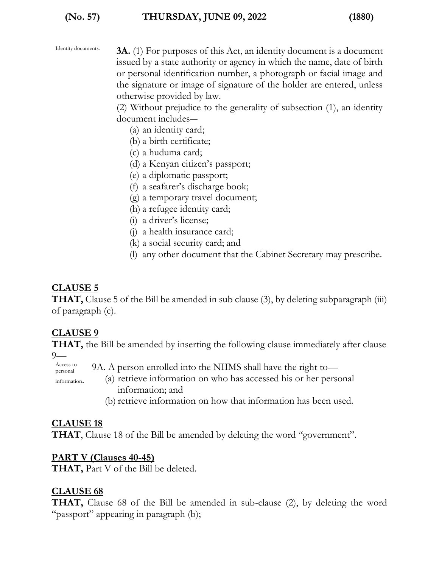| Identity documents. |  |
|---------------------|--|
|---------------------|--|

**3A.** (1) For purposes of this Act, an identity document is a document issued by a state authority or agency in which the name, date of birth or personal identification number, a photograph or facial image and the signature or image of signature of the holder are entered, unless otherwise provided by law.

(2) Without prejudice to the generality of subsection (1), an identity document includes―

(a) an identity card;

- (b) a birth certificate;
- (c) a huduma card;
- (d) a Kenyan citizen's passport;
- (e) a diplomatic passport;
- (f) a seafarer's discharge book;
- (g) a temporary travel document;
- (h) a refugee identity card;
- (i) a driver's license;
- (j) a health insurance card;
- (k) a social security card; and
- (l) any other document that the Cabinet Secretary may prescribe.

#### **CLAUSE 5**

**THAT,** Clause 5 of the Bill be amended in sub clause (3), by deleting subparagraph (iii) of paragraph (c).

#### **CLAUSE 9**

**THAT,** the Bill be amended by inserting the following clause immediately after clause 9—

Access to personal 9A. A person enrolled into the NIIMS shall have the right to—

information.

- (a) retrieve information on who has accessed his or her personal information; and
- (b) retrieve information on how that information has been used.

#### **CLAUSE 18**

**THAT**, Clause 18 of the Bill be amended by deleting the word "government".

#### **PART V (Clauses 40-45)**

**THAT,** Part V of the Bill be deleted.

#### **CLAUSE 68**

**THAT,** Clause 68 of the Bill be amended in sub-clause (2), by deleting the word "passport" appearing in paragraph (b);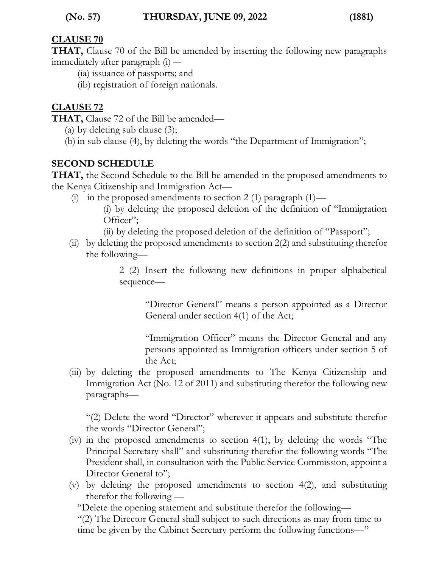#### **(No. 57) THURSDAY, JUNE 09, 2022 (1881)**

#### **CLAUSE 70**

**THAT,** Clause 70 of the Bill be amended by inserting the following new paragraphs immediately after paragraph (i) ―

- (ia) issuance of passports; and
- (ib) registration of foreign nationals.

#### **CLAUSE 72**

**THAT,** Clause 72 of the Bill be amended—

- (a) by deleting sub clause  $(3)$ ;
- (b) in sub clause (4), by deleting the words "the Department of Immigration";

#### **SECOND SCHEDULE**

**THAT,** the Second Schedule to the Bill be amended in the proposed amendments to the Kenya Citizenship and Immigration Act—

(i) in the proposed amendments to section 2 (1) paragraph  $(1)$ —

(i) by deleting the proposed deletion of the definition of "Immigration Officer";

(ii) by deleting the proposed deletion of the definition of "Passport";

(ii) by deleting the proposed amendments to section 2(2) and substituting therefor the following—

> 2 (2) Insert the following new definitions in proper alphabetical sequence—

"Director General" means a person appointed as a Director General under section 4(1) of the Act;

"Immigration Officer" means the Director General and any persons appointed as Immigration officers under section 5 of the Act;

(iii) by deleting the proposed amendments to The Kenya Citizenship and Immigration Act (No. 12 of 2011) and substituting therefor the following new paragraphs—

"(2) Delete the word "Director" wherever it appears and substitute therefor the words "Director General";

- (iv) in the proposed amendments to section 4(1), by deleting the words "The Principal Secretary shall" and substituting therefor the following words "The President shall, in consultation with the Public Service Commission, appoint a Director General to";
- (v) by deleting the proposed amendments to section 4(2), and substituting therefor the following —

"Delete the opening statement and substitute therefor the following—

"(2) The Director General shall subject to such directions as may from time to time be given by the Cabinet Secretary perform the following functions—"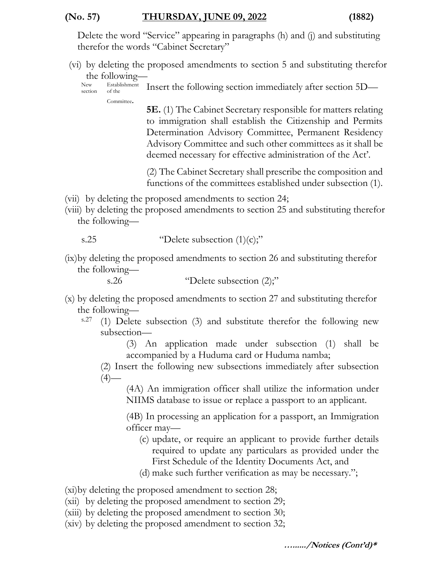#### **(No. 57) THURSDAY, JUNE 09, 2022 (1882)**

Delete the word "Service" appearing in paragraphs (h) and (j) and substituting therefor the words "Cabinet Secretary"

(vi) by deleting the proposed amendments to section 5 and substituting therefor the following—

New section Establishment of the Committee. Insert the following section immediately after section 5D—

> **5E.** (1) The Cabinet Secretary responsible for matters relating to immigration shall establish the Citizenship and Permits Determination Advisory Committee, Permanent Residency Advisory Committee and such other committees as it shall be deemed necessary for effective administration of the Act'.

> (2) The Cabinet Secretary shall prescribe the composition and functions of the committees established under subsection (1).

- (vii) by deleting the proposed amendments to section 24;
- (viii) by deleting the proposed amendments to section 25 and substituting therefor the following—

s.25  $\qquad \qquad \text{"Delete subsection (1)(c)}$ 

(ix)by deleting the proposed amendments to section 26 and substituting therefor the following—

s.26 "Delete subsection  $(2)$ ;"

- (x) by deleting the proposed amendments to section 27 and substituting therefor the following
	- s.27 (1) Delete subsection (3) and substitute therefor the following new subsection—

(3) An application made under subsection (1) shall be accompanied by a Huduma card or Huduma namba;

(2) Insert the following new subsections immediately after subsection  $(4)$ —

(4A) An immigration officer shall utilize the information under NIIMS database to issue or replace a passport to an applicant.

(4B) In processing an application for a passport, an Immigration officer may—

- (c) update, or require an applicant to provide further details required to update any particulars as provided under the First Schedule of the Identity Documents Act, and
- (d) make such further verification as may be necessary.";

(xi)by deleting the proposed amendment to section 28;

- (xii) by deleting the proposed amendment to section 29;
- (xiii) by deleting the proposed amendment to section 30;
- (xiv) by deleting the proposed amendment to section 32;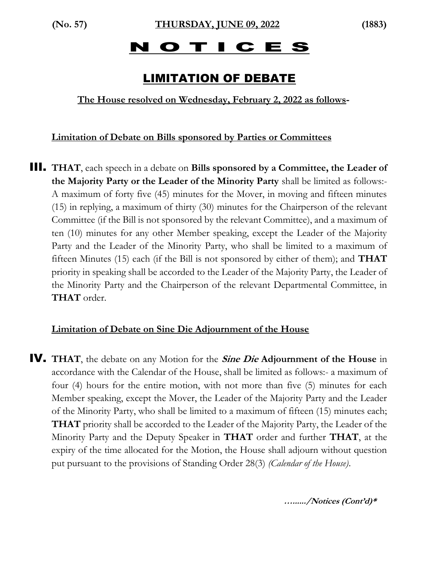# N O T I C E S

# LIMITATION OF DEBATE

**The House resolved on Wednesday, February 2, 2022 as follows-**

#### **Limitation of Debate on Bills sponsored by Parties or Committees**

III. **THAT**, each speech in a debate on **Bills sponsored by a Committee, the Leader of the Majority Party or the Leader of the Minority Party** shall be limited as follows:- A maximum of forty five (45) minutes for the Mover, in moving and fifteen minutes (15) in replying, a maximum of thirty (30) minutes for the Chairperson of the relevant Committee (if the Bill is not sponsored by the relevant Committee), and a maximum of ten (10) minutes for any other Member speaking, except the Leader of the Majority Party and the Leader of the Minority Party, who shall be limited to a maximum of fifteen Minutes (15) each (if the Bill is not sponsored by either of them); and **THAT** priority in speaking shall be accorded to the Leader of the Majority Party, the Leader of the Minority Party and the Chairperson of the relevant Departmental Committee, in **THAT** order.

#### **Limitation of Debate on Sine Die Adjournment of the House**

IV. **THAT**, the debate on any Motion for the **Sine Die Adjournment of the House** in accordance with the Calendar of the House, shall be limited as follows:- a maximum of four (4) hours for the entire motion, with not more than five (5) minutes for each Member speaking, except the Mover, the Leader of the Majority Party and the Leader of the Minority Party, who shall be limited to a maximum of fifteen (15) minutes each; **THAT** priority shall be accorded to the Leader of the Majority Party, the Leader of the Minority Party and the Deputy Speaker in **THAT** order and further **THAT**, at the expiry of the time allocated for the Motion, the House shall adjourn without question put pursuant to the provisions of Standing Order 28(3) *(Calendar of the House)*.

**…....../Notices (Cont'd)\***